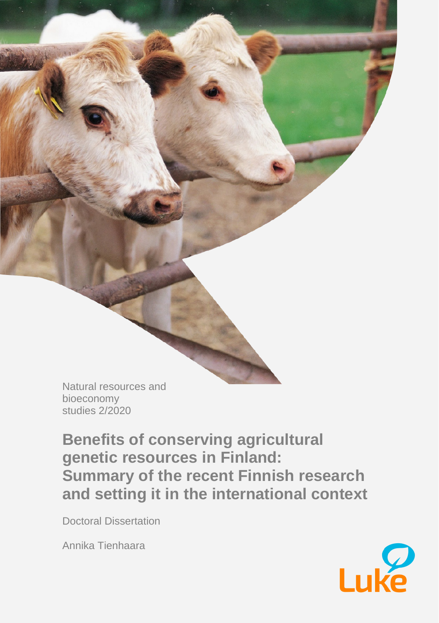Natural resources and bioeconomy studies 2/2020

**Benefits of conserving agricultural genetic resources in Finland: Summary of the recent Finnish research and setting it in the international context**

Doctoral Dissertation

Annika Tienhaara

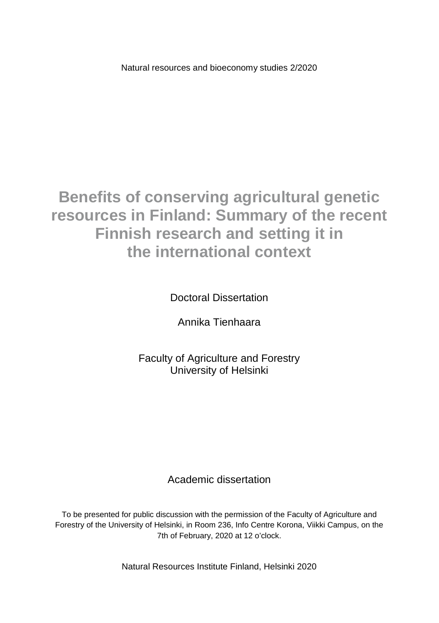Natural resources and bioeconomy studies 2/2020

# **Benefits of conserving agricultural genetic resources in Finland: Summary of the recent Finnish research and setting it in the international context**

Doctoral Dissertation

Annika Tienhaara

Faculty of Agriculture and Forestry University of Helsinki

#### Academic dissertation

To be presented for public discussion with the permission of the Faculty of Agriculture and Forestry of the University of Helsinki, in Room 236, Info Centre Korona, Viikki Campus, on the 7th of February, 2020 at 12 o'clock.

Natural Resources Institute Finland, Helsinki 2020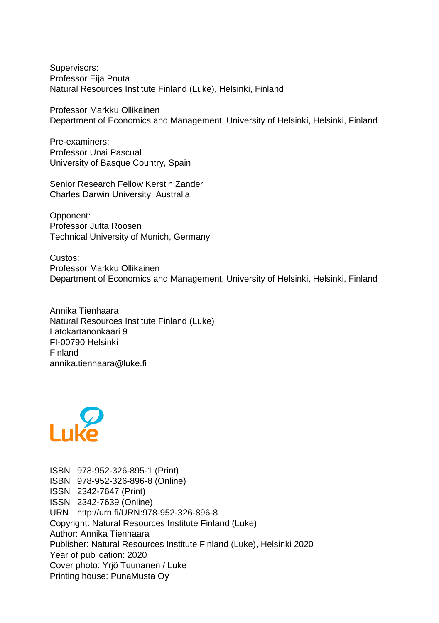Supervisors: Professor Eija Pouta Natural Resources Institute Finland (Luke), Helsinki, Finland

Professor Markku Ollikainen Department of Economics and Management, University of Helsinki, Helsinki, Finland

Pre-examiners: Professor Unai Pascual University of Basque Country, Spain

Senior Research Fellow Kerstin Zander Charles Darwin University, Australia

Opponent: Professor Jutta Roosen Technical University of Munich, Germany

Custos: Professor Markku Ollikainen Department of Economics and Management, University of Helsinki, Helsinki, Finland

Annika Tienhaara Natural Resources Institute Finland (Luke) Latokartanonkaari 9 FI-00790 Helsinki Finland annika.tienhaara@luke.fi



ISBN 978-952-326-895-1 (Print) ISBN 978-952-326-896-8 (Online) ISSN 2342-7647 (Print) ISSN 2342-7639 (Online) URN http://urn.fi/URN:978-952-326-896-8 Copyright: Natural Resources Institute Finland (Luke) Author: Annika Tienhaara Publisher: Natural Resources Institute Finland (Luke), Helsinki 2020 Year of publication: 2020 Cover photo: Yrjö Tuunanen / Luke Printing house: PunaMusta Oy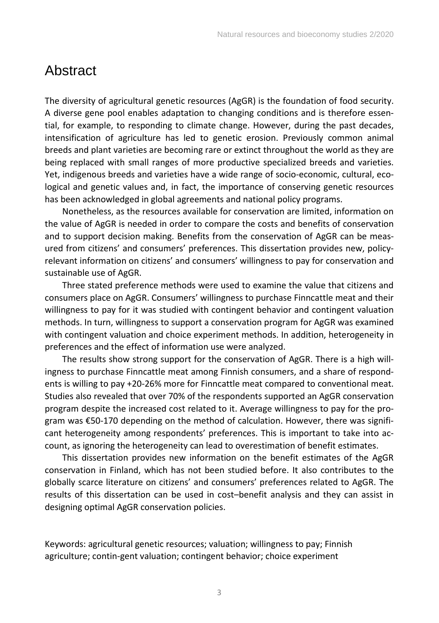## Abstract

The diversity of agricultural genetic resources (AgGR) is the foundation of food security. A diverse gene pool enables adaptation to changing conditions and is therefore essential, for example, to responding to climate change. However, during the past decades, intensification of agriculture has led to genetic erosion. Previously common animal breeds and plant varieties are becoming rare or extinct throughout the world as they are being replaced with small ranges of more productive specialized breeds and varieties. Yet, indigenous breeds and varieties have a wide range of socio-economic, cultural, ecological and genetic values and, in fact, the importance of conserving genetic resources has been acknowledged in global agreements and national policy programs.

Nonetheless, as the resources available for conservation are limited, information on the value of AgGR is needed in order to compare the costs and benefits of conservation and to support decision making. Benefits from the conservation of AgGR can be measured from citizens' and consumers' preferences. This dissertation provides new, policyrelevant information on citizens' and consumers' willingness to pay for conservation and sustainable use of AgGR.

Three stated preference methods were used to examine the value that citizens and consumers place on AgGR. Consumers' willingness to purchase Finncattle meat and their willingness to pay for it was studied with contingent behavior and contingent valuation methods. In turn, willingness to support a conservation program for AgGR was examined with contingent valuation and choice experiment methods. In addition, heterogeneity in preferences and the effect of information use were analyzed.

The results show strong support for the conservation of AgGR. There is a high willingness to purchase Finncattle meat among Finnish consumers, and a share of respondents is willing to pay +20-26% more for Finncattle meat compared to conventional meat. Studies also revealed that over 70% of the respondents supported an AgGR conservation program despite the increased cost related to it. Average willingness to pay for the program was €50-170 depending on the method of calculation. However, there was significant heterogeneity among respondents' preferences. This is important to take into account, as ignoring the heterogeneity can lead to overestimation of benefit estimates.

This dissertation provides new information on the benefit estimates of the AgGR conservation in Finland, which has not been studied before. It also contributes to the globally scarce literature on citizens' and consumers' preferences related to AgGR. The results of this dissertation can be used in cost–benefit analysis and they can assist in designing optimal AgGR conservation policies.

Keywords: agricultural genetic resources; valuation; willingness to pay; Finnish agriculture; contin-gent valuation; contingent behavior; choice experiment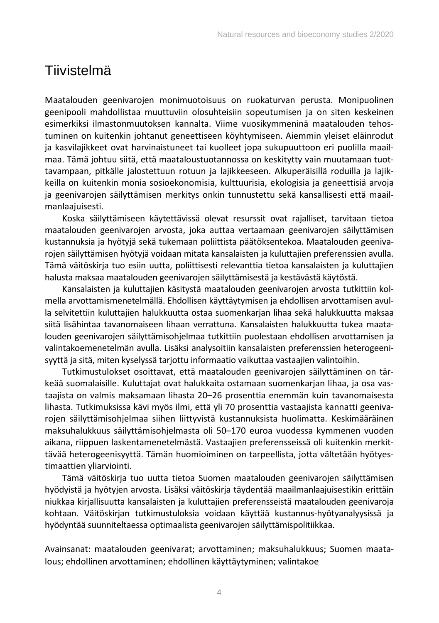## Tiivistelmä

Maatalouden geenivarojen monimuotoisuus on ruokaturvan perusta. Monipuolinen geenipooli mahdollistaa muuttuviin olosuhteisiin sopeutumisen ja on siten keskeinen esimerkiksi ilmastonmuutoksen kannalta. Viime vuosikymmeninä maatalouden tehostuminen on kuitenkin johtanut geneettiseen köyhtymiseen. Aiemmin yleiset eläinrodut ja kasvilajikkeet ovat harvinaistuneet tai kuolleet jopa sukupuuttoon eri puolilla maailmaa. Tämä johtuu siitä, että maataloustuotannossa on keskitytty vain muutamaan tuottavampaan, pitkälle jalostettuun rotuun ja lajikkeeseen. Alkuperäisillä roduilla ja lajikkeilla on kuitenkin monia sosioekonomisia, kulttuurisia, ekologisia ja geneettisiä arvoja ja geenivarojen säilyttämisen merkitys onkin tunnustettu sekä kansallisesti että maailmanlaajuisesti.

Koska säilyttämiseen käytettävissä olevat resurssit ovat rajalliset, tarvitaan tietoa maatalouden geenivarojen arvosta, joka auttaa vertaamaan geenivarojen säilyttämisen kustannuksia ja hyötyjä sekä tukemaan poliittista päätöksentekoa. Maatalouden geenivarojen säilyttämisen hyötyjä voidaan mitata kansalaisten ja kuluttajien preferenssien avulla. Tämä väitöskirja tuo esiin uutta, poliittisesti relevanttia tietoa kansalaisten ja kuluttajien halusta maksaa maatalouden geenivarojen säilyttämisestä ja kestävästä käytöstä.

Kansalaisten ja kuluttajien käsitystä maatalouden geenivarojen arvosta tutkittiin kolmella arvottamismenetelmällä. Ehdollisen käyttäytymisen ja ehdollisen arvottamisen avulla selvitettiin kuluttajien halukkuutta ostaa suomenkarjan lihaa sekä halukkuutta maksaa siitä lisähintaa tavanomaiseen lihaan verrattuna. Kansalaisten halukkuutta tukea maatalouden geenivarojen säilyttämisohjelmaa tutkittiin puolestaan ehdollisen arvottamisen ja valintakoemenetelmän avulla. Lisäksi analysoitiin kansalaisten preferenssien heterogeenisyyttä ja sitä, miten kyselyssä tarjottu informaatio vaikuttaa vastaajien valintoihin.

Tutkimustulokset osoittavat, että maatalouden geenivarojen säilyttäminen on tärkeää suomalaisille. Kuluttajat ovat halukkaita ostamaan suomenkarjan lihaa, ja osa vastaajista on valmis maksamaan lihasta 20–26 prosenttia enemmän kuin tavanomaisesta lihasta. Tutkimuksissa kävi myös ilmi, että yli 70 prosenttia vastaajista kannatti geenivarojen säilyttämisohjelmaa siihen liittyvistä kustannuksista huolimatta. Keskimääräinen maksuhalukkuus säilyttämisohjelmasta oli 50–170 euroa vuodessa kymmenen vuoden aikana, riippuen laskentamenetelmästä. Vastaajien preferensseissä oli kuitenkin merkittävää heterogeenisyyttä. Tämän huomioiminen on tarpeellista, jotta vältetään hyötyestimaattien yliarviointi.

Tämä väitöskirja tuo uutta tietoa Suomen maatalouden geenivarojen säilyttämisen hyödyistä ja hyötyjen arvosta. Lisäksi väitöskirja täydentää maailmanlaajuisestikin erittäin niukkaa kirjallisuutta kansalaisten ja kuluttajien preferensseistä maatalouden geenivaroja kohtaan. Väitöskirjan tutkimustuloksia voidaan käyttää kustannus-hyötyanalyysissä ja hyödyntää suunniteltaessa optimaalista geenivarojen säilyttämispolitiikkaa.

Avainsanat: maatalouden geenivarat; arvottaminen; maksuhalukkuus; Suomen maatalous; ehdollinen arvottaminen; ehdollinen käyttäytyminen; valintakoe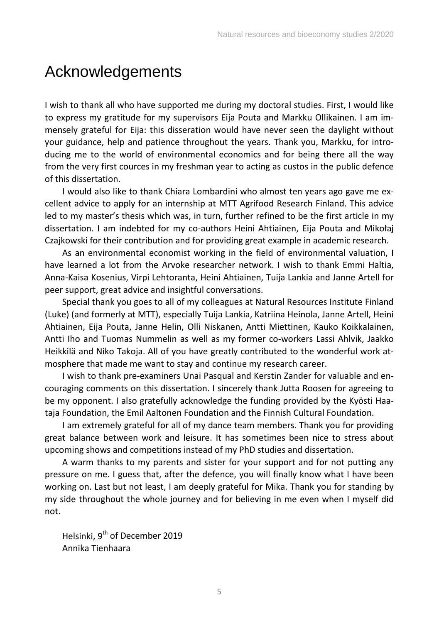# Acknowledgements

I wish to thank all who have supported me during my doctoral studies. First, I would like to express my gratitude for my supervisors Eija Pouta and Markku Ollikainen. I am immensely grateful for Eija: this disseration would have never seen the daylight without your guidance, help and patience throughout the years. Thank you, Markku, for introducing me to the world of environmental economics and for being there all the way from the very first cources in my freshman year to acting as custos in the public defence of this dissertation.

I would also like to thank Chiara Lombardini who almost ten years ago gave me excellent advice to apply for an internship at MTT Agrifood Research Finland. This advice led to my master's thesis which was, in turn, further refined to be the first article in my dissertation. I am indebted for my co-authors Heini Ahtiainen, Eija Pouta and Mikołaj Czajkowski for their contribution and for providing great example in academic research.

As an environmental economist working in the field of environmental valuation, I have learned a lot from the Arvoke researcher network. I wish to thank Emmi Haltia, Anna-Kaisa Kosenius, Virpi Lehtoranta, Heini Ahtiainen, Tuija Lankia and Janne Artell for peer support, great advice and insightful conversations.

Special thank you goes to all of my colleagues at Natural Resources Institute Finland (Luke) (and formerly at MTT), especially Tuija Lankia, Katriina Heinola, Janne Artell, Heini Ahtiainen, Eija Pouta, Janne Helin, Olli Niskanen, Antti Miettinen, Kauko Koikkalainen, Antti Iho and Tuomas Nummelin as well as my former co-workers Lassi Ahlvik, Jaakko Heikkilä and Niko Takoja. All of you have greatly contributed to the wonderful work atmosphere that made me want to stay and continue my research career.

I wish to thank pre-examiners Unai Pasqual and Kerstin Zander for valuable and encouraging comments on this dissertation. I sincerely thank Jutta Roosen for agreeing to be my opponent. I also gratefully acknowledge the funding provided by the Kyösti Haataja Foundation, the Emil Aaltonen Foundation and the Finnish Cultural Foundation.

I am extremely grateful for all of my dance team members. Thank you for providing great balance between work and leisure. It has sometimes been nice to stress about upcoming shows and competitions instead of my PhD studies and dissertation.

A warm thanks to my parents and sister for your support and for not putting any pressure on me. I guess that, after the defence, you will finally know what I have been working on. Last but not least, I am deeply grateful for Mika. Thank you for standing by my side throughout the whole journey and for believing in me even when I myself did not.

Helsinki, 9<sup>th</sup> of December 2019 Annika Tienhaara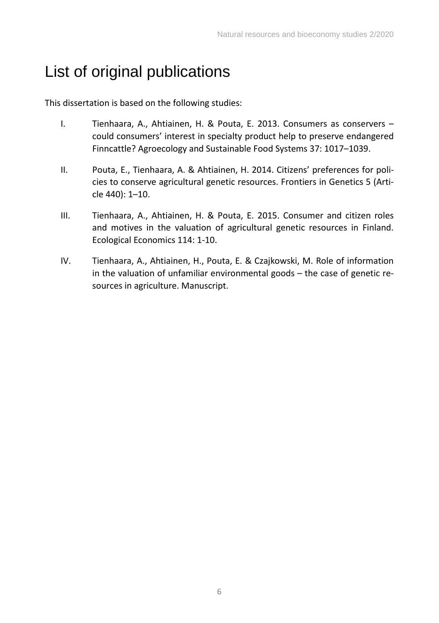# List of original publications

This dissertation is based on the following studies:

- I. Tienhaara, A., Ahtiainen, H. & Pouta, E. 2013. Consumers as conservers could consumers' interest in specialty product help to preserve endangered Finncattle? Agroecology and Sustainable Food Systems 37: 1017–1039.
- II. Pouta, E., Tienhaara, A. & Ahtiainen, H. 2014. Citizens' preferences for policies to conserve agricultural genetic resources. Frontiers in Genetics 5 (Article 440): 1–10.
- III. Tienhaara, A., Ahtiainen, H. & Pouta, E. 2015. Consumer and citizen roles and motives in the valuation of agricultural genetic resources in Finland. Ecological Economics 114: 1-10.
- IV. Tienhaara, A., Ahtiainen, H., Pouta, E. & Czajkowski, M. Role of information in the valuation of unfamiliar environmental goods – the case of genetic resources in agriculture. Manuscript.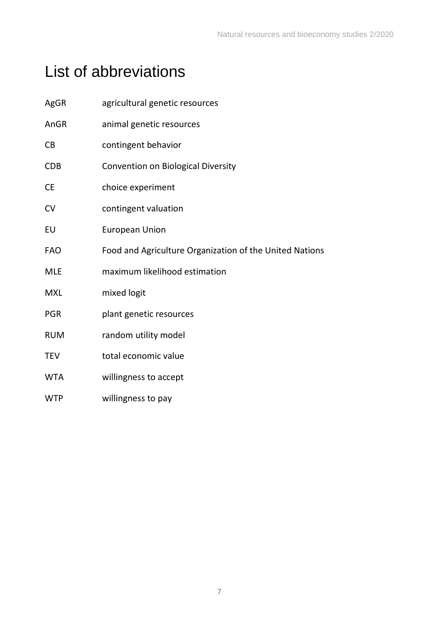# List of abbreviations

| AgGR       | agricultural genetic resources                          |
|------------|---------------------------------------------------------|
| AnGR       | animal genetic resources                                |
| <b>CB</b>  | contingent behavior                                     |
| <b>CDB</b> | Convention on Biological Diversity                      |
| <b>CE</b>  | choice experiment                                       |
| CV         | contingent valuation                                    |
| EU         | <b>European Union</b>                                   |
| <b>FAO</b> | Food and Agriculture Organization of the United Nations |
| <b>MLE</b> | maximum likelihood estimation                           |
| <b>MXL</b> | mixed logit                                             |
| <b>PGR</b> | plant genetic resources                                 |
| <b>RUM</b> | random utility model                                    |
| <b>TEV</b> | total economic value                                    |
| <b>WTA</b> | willingness to accept                                   |
| <b>WTP</b> | willingness to pay                                      |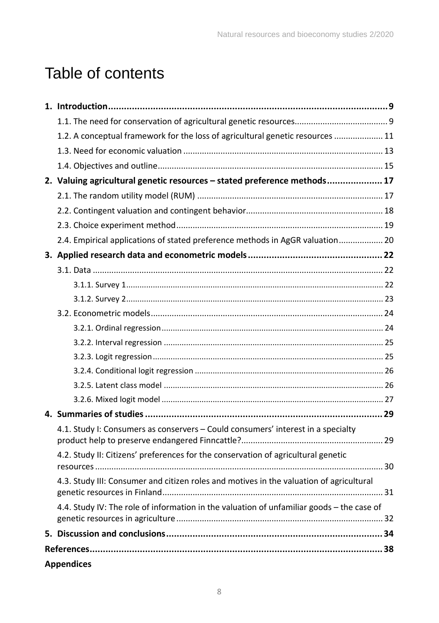# Table of contents

| 1.2. A conceptual framework for the loss of agricultural genetic resources  11                                          |    |
|-------------------------------------------------------------------------------------------------------------------------|----|
|                                                                                                                         |    |
|                                                                                                                         |    |
| 2. Valuing agricultural genetic resources - stated preference methods 17                                                |    |
|                                                                                                                         |    |
|                                                                                                                         |    |
|                                                                                                                         |    |
| 2.4. Empirical applications of stated preference methods in AgGR valuation 20                                           |    |
|                                                                                                                         |    |
|                                                                                                                         |    |
|                                                                                                                         |    |
|                                                                                                                         |    |
|                                                                                                                         |    |
|                                                                                                                         |    |
|                                                                                                                         |    |
|                                                                                                                         |    |
|                                                                                                                         |    |
|                                                                                                                         |    |
|                                                                                                                         |    |
|                                                                                                                         |    |
| 4.1. Study I: Consumers as conservers - Could consumers' interest in a specialty                                        |    |
| 4.2. Study II: Citizens' preferences for the conservation of agricultural genetic                                       |    |
| 4.3. Study III: Consumer and citizen roles and motives in the valuation of agricultural<br>genetic resources in Finland | 31 |
| 4.4. Study IV: The role of information in the valuation of unfamiliar goods - the case of                               |    |
|                                                                                                                         |    |
|                                                                                                                         |    |
| <b>Appendices</b>                                                                                                       |    |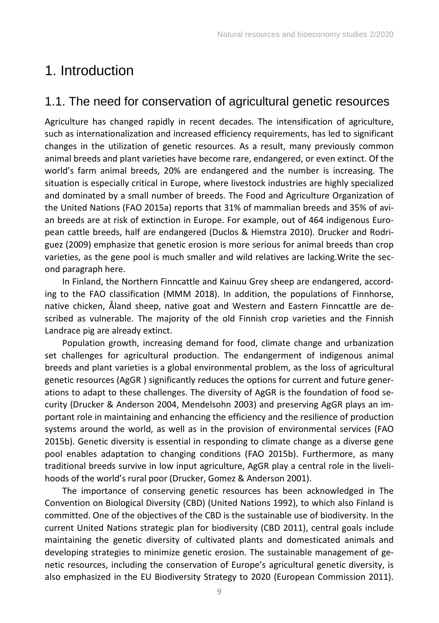# <span id="page-9-0"></span>1. Introduction

### <span id="page-9-1"></span>1.1. The need for conservation of agricultural genetic resources

Agriculture has changed rapidly in recent decades. The intensification of agriculture, such as internationalization and increased efficiency requirements, has led to significant changes in the utilization of genetic resources. As a result, many previously common animal breeds and plant varieties have become rare, endangered, or even extinct. Of the world's farm animal breeds, 20% are endangered and the number is increasing. The situation is especially critical in Europe, where livestock industries are highly specialized and dominated by a small number of breeds. The Food and Agriculture Organization of the United Nations (FAO 2015a) reports that 31% of mammalian breeds and 35% of avian breeds are at risk of extinction in Europe. For example, out of 464 indigenous European cattle breeds, half are endangered (Duclos & Hiemstra 2010). Drucker and Rodriguez (2009) emphasize that genetic erosion is more serious for animal breeds than crop varieties, as the gene pool is much smaller and wild relatives are lacking.Write the second paragraph here.

In Finland, the Northern Finncattle and Kainuu Grey sheep are endangered, according to the FAO classification (MMM 2018). In addition, the populations of Finnhorse, native chicken, Åland sheep, native goat and Western and Eastern Finncattle are described as vulnerable. The majority of the old Finnish crop varieties and the Finnish Landrace pig are already extinct.

Population growth, increasing demand for food, climate change and urbanization set challenges for agricultural production. The endangerment of indigenous animal breeds and plant varieties is a global environmental problem, as the loss of agricultural genetic resources (AgGR ) significantly reduces the options for current and future generations to adapt to these challenges. The diversity of AgGR is the foundation of food security (Drucker & Anderson 2004, Mendelsohn 2003) and preserving AgGR plays an important role in maintaining and enhancing the efficiency and the resilience of production systems around the world, as well as in the provision of environmental services (FAO 2015b). Genetic diversity is essential in responding to climate change as a diverse gene pool enables adaptation to changing conditions (FAO 2015b). Furthermore, as many traditional breeds survive in low input agriculture, AgGR play a central role in the livelihoods of the world's rural poor (Drucker, Gomez & Anderson 2001).

The importance of conserving genetic resources has been acknowledged in The Convention on Biological Diversity (CBD) (United Nations 1992), to which also Finland is committed. One of the objectives of the CBD is the sustainable use of biodiversity. In the current United Nations strategic plan for biodiversity (CBD 2011), central goals include maintaining the genetic diversity of cultivated plants and domesticated animals and developing strategies to minimize genetic erosion. The sustainable management of genetic resources, including the conservation of Europe's agricultural genetic diversity, is also emphasized in the EU Biodiversity Strategy to 2020 (European Commission 2011).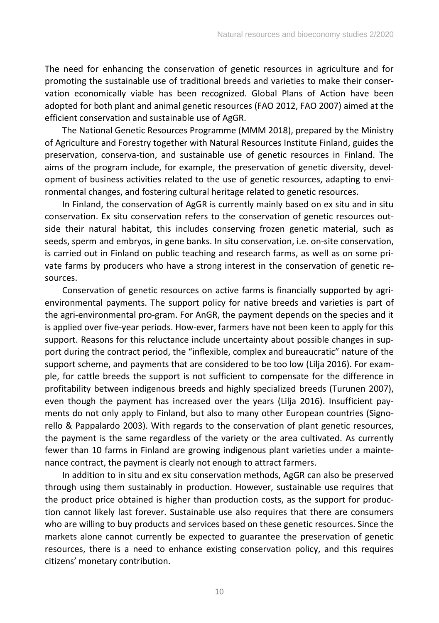The need for enhancing the conservation of genetic resources in agriculture and for promoting the sustainable use of traditional breeds and varieties to make their conservation economically viable has been recognized. Global Plans of Action have been adopted for both plant and animal genetic resources (FAO 2012, FAO 2007) aimed at the efficient conservation and sustainable use of AgGR.

The National Genetic Resources Programme (MMM 2018), prepared by the Ministry of Agriculture and Forestry together with Natural Resources Institute Finland, guides the preservation, conserva-tion, and sustainable use of genetic resources in Finland. The aims of the program include, for example, the preservation of genetic diversity, development of business activities related to the use of genetic resources, adapting to environmental changes, and fostering cultural heritage related to genetic resources.

In Finland, the conservation of AgGR is currently mainly based on ex situ and in situ conservation. Ex situ conservation refers to the conservation of genetic resources outside their natural habitat, this includes conserving frozen genetic material, such as seeds, sperm and embryos, in gene banks. In situ conservation, i.e. on-site conservation, is carried out in Finland on public teaching and research farms, as well as on some private farms by producers who have a strong interest in the conservation of genetic resources.

Conservation of genetic resources on active farms is financially supported by agrienvironmental payments. The support policy for native breeds and varieties is part of the agri-environmental pro-gram. For AnGR, the payment depends on the species and it is applied over five-year periods. How-ever, farmers have not been keen to apply for this support. Reasons for this reluctance include uncertainty about possible changes in support during the contract period, the "inflexible, complex and bureaucratic" nature of the support scheme, and payments that are considered to be too low (Lilja 2016). For example, for cattle breeds the support is not sufficient to compensate for the difference in profitability between indigenous breeds and highly specialized breeds (Turunen 2007), even though the payment has increased over the years (Lilja 2016). Insufficient payments do not only apply to Finland, but also to many other European countries (Signorello & Pappalardo 2003). With regards to the conservation of plant genetic resources, the payment is the same regardless of the variety or the area cultivated. As currently fewer than 10 farms in Finland are growing indigenous plant varieties under a maintenance contract, the payment is clearly not enough to attract farmers.

In addition to in situ and ex situ conservation methods, AgGR can also be preserved through using them sustainably in production. However, sustainable use requires that the product price obtained is higher than production costs, as the support for production cannot likely last forever. Sustainable use also requires that there are consumers who are willing to buy products and services based on these genetic resources. Since the markets alone cannot currently be expected to guarantee the preservation of genetic resources, there is a need to enhance existing conservation policy, and this requires citizens' monetary contribution.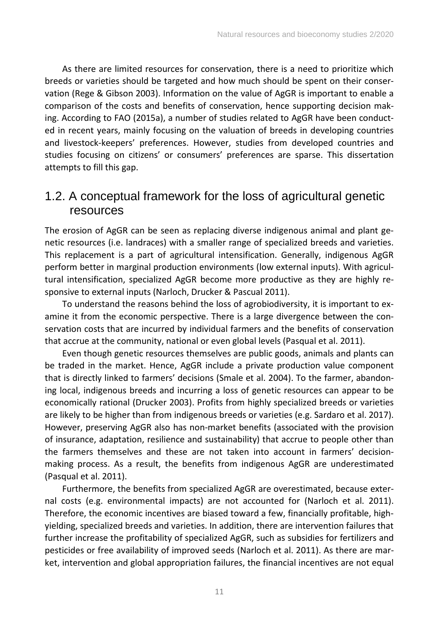As there are limited resources for conservation, there is a need to prioritize which breeds or varieties should be targeted and how much should be spent on their conservation (Rege & Gibson 2003). Information on the value of AgGR is important to enable a comparison of the costs and benefits of conservation, hence supporting decision making. According to FAO (2015a), a number of studies related to AgGR have been conducted in recent years, mainly focusing on the valuation of breeds in developing countries and livestock-keepers' preferences. However, studies from developed countries and studies focusing on citizens' or consumers' preferences are sparse. This dissertation attempts to fill this gap.

### <span id="page-11-0"></span>1.2. A conceptual framework for the loss of agricultural genetic resources

The erosion of AgGR can be seen as replacing diverse indigenous animal and plant genetic resources (i.e. landraces) with a smaller range of specialized breeds and varieties. This replacement is a part of agricultural intensification. Generally, indigenous AgGR perform better in marginal production environments (low external inputs). With agricultural intensification, specialized AgGR become more productive as they are highly responsive to external inputs (Narloch, Drucker & Pascual 2011).

To understand the reasons behind the loss of agrobiodiversity, it is important to examine it from the economic perspective. There is a large divergence between the conservation costs that are incurred by individual farmers and the benefits of conservation that accrue at the community, national or even global levels (Pasqual et al. 2011).

Even though genetic resources themselves are public goods, animals and plants can be traded in the market. Hence, AgGR include a private production value component that is directly linked to farmers' decisions (Smale et al. 2004). To the farmer, abandoning local, indigenous breeds and incurring a loss of genetic resources can appear to be economically rational (Drucker 2003). Profits from highly specialized breeds or varieties are likely to be higher than from indigenous breeds or varieties (e.g. Sardaro et al. 2017). However, preserving AgGR also has non-market benefits (associated with the provision of insurance, adaptation, resilience and sustainability) that accrue to people other than the farmers themselves and these are not taken into account in farmers' decisionmaking process. As a result, the benefits from indigenous AgGR are underestimated (Pasqual et al. 2011).

Furthermore, the benefits from specialized AgGR are overestimated, because external costs (e.g. environmental impacts) are not accounted for (Narloch et al. 2011). Therefore, the economic incentives are biased toward a few, financially profitable, highyielding, specialized breeds and varieties. In addition, there are intervention failures that further increase the profitability of specialized AgGR, such as subsidies for fertilizers and pesticides or free availability of improved seeds (Narloch et al. 2011). As there are market, intervention and global appropriation failures, the financial incentives are not equal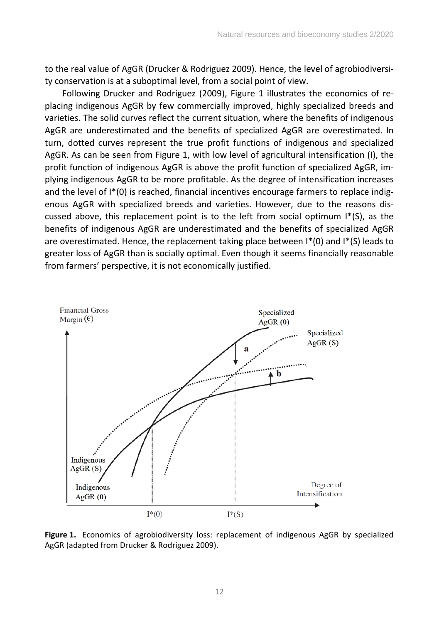to the real value of AgGR (Drucker & Rodriguez 2009). Hence, the level of agrobiodiversity conservation is at a suboptimal level, from a social point of view.

Following Drucker and Rodriguez (2009), Figure 1 illustrates the economics of replacing indigenous AgGR by few commercially improved, highly specialized breeds and varieties. The solid curves reflect the current situation, where the benefits of indigenous AgGR are underestimated and the benefits of specialized AgGR are overestimated. In turn, dotted curves represent the true profit functions of indigenous and specialized AgGR. As can be seen from Figure 1, with low level of agricultural intensification (I), the profit function of indigenous AgGR is above the profit function of specialized AgGR, implying indigenous AgGR to be more profitable. As the degree of intensification increases and the level of I\*(0) is reached, financial incentives encourage farmers to replace indigenous AgGR with specialized breeds and varieties. However, due to the reasons discussed above, this replacement point is to the left from social optimum  $I^*(S)$ , as the benefits of indigenous AgGR are underestimated and the benefits of specialized AgGR are overestimated. Hence, the replacement taking place between  $I^*(0)$  and  $I^*(S)$  leads to greater loss of AgGR than is socially optimal. Even though it seems financially reasonable from farmers' perspective, it is not economically justified.



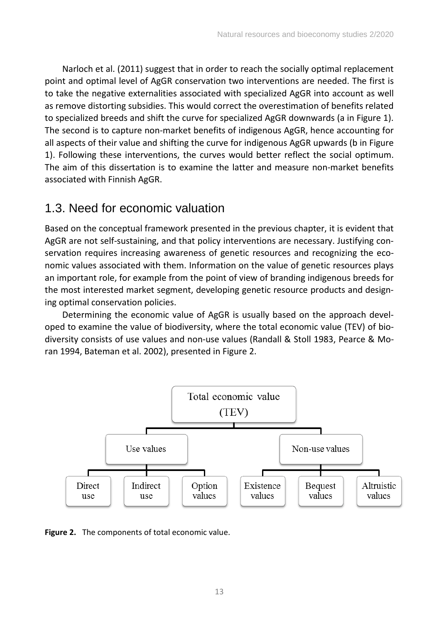Narloch et al. (2011) suggest that in order to reach the socially optimal replacement point and optimal level of AgGR conservation two interventions are needed. The first is to take the negative externalities associated with specialized AgGR into account as well as remove distorting subsidies. This would correct the overestimation of benefits related to specialized breeds and shift the curve for specialized AgGR downwards (a in Figure 1). The second is to capture non-market benefits of indigenous AgGR, hence accounting for all aspects of their value and shifting the curve for indigenous AgGR upwards (b in Figure 1). Following these interventions, the curves would better reflect the social optimum. The aim of this dissertation is to examine the latter and measure non-market benefits associated with Finnish AgGR.

#### <span id="page-13-0"></span>1.3. Need for economic valuation

Based on the conceptual framework presented in the previous chapter, it is evident that AgGR are not self-sustaining, and that policy interventions are necessary. Justifying conservation requires increasing awareness of genetic resources and recognizing the economic values associated with them. Information on the value of genetic resources plays an important role, for example from the point of view of branding indigenous breeds for the most interested market segment, developing genetic resource products and designing optimal conservation policies.

Determining the economic value of AgGR is usually based on the approach developed to examine the value of biodiversity, where the total economic value (TEV) of biodiversity consists of use values and non-use values (Randall & Stoll 1983, Pearce & Moran 1994, Bateman et al. 2002), presented in Figure 2.



**Figure 2.** The components of total economic value.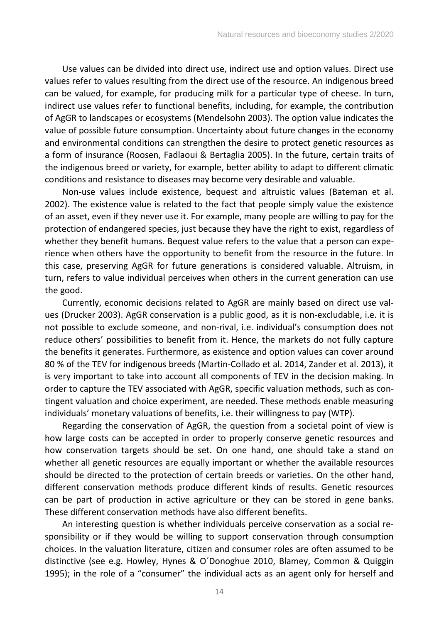Use values can be divided into direct use, indirect use and option values. Direct use values refer to values resulting from the direct use of the resource. An indigenous breed can be valued, for example, for producing milk for a particular type of cheese. In turn, indirect use values refer to functional benefits, including, for example, the contribution of AgGR to landscapes or ecosystems (Mendelsohn 2003). The option value indicates the value of possible future consumption. Uncertainty about future changes in the economy and environmental conditions can strengthen the desire to protect genetic resources as a form of insurance (Roosen, Fadlaoui & Bertaglia 2005). In the future, certain traits of the indigenous breed or variety, for example, better ability to adapt to different climatic conditions and resistance to diseases may become very desirable and valuable.

Non-use values include existence, bequest and altruistic values (Bateman et al. 2002). The existence value is related to the fact that people simply value the existence of an asset, even if they never use it. For example, many people are willing to pay for the protection of endangered species, just because they have the right to exist, regardless of whether they benefit humans. Bequest value refers to the value that a person can experience when others have the opportunity to benefit from the resource in the future. In this case, preserving AgGR for future generations is considered valuable. Altruism, in turn, refers to value individual perceives when others in the current generation can use the good.

Currently, economic decisions related to AgGR are mainly based on direct use values (Drucker 2003). AgGR conservation is a public good, as it is non-excludable, i.e. it is not possible to exclude someone, and non-rival, i.e. individual's consumption does not reduce others' possibilities to benefit from it. Hence, the markets do not fully capture the benefits it generates. Furthermore, as existence and option values can cover around 80 % of the TEV for indigenous breeds (Martin-Collado et al. 2014, Zander et al. 2013), it is very important to take into account all components of TEV in the decision making. In order to capture the TEV associated with AgGR, specific valuation methods, such as contingent valuation and choice experiment, are needed. These methods enable measuring individuals' monetary valuations of benefits, i.e. their willingness to pay (WTP).

Regarding the conservation of AgGR, the question from a societal point of view is how large costs can be accepted in order to properly conserve genetic resources and how conservation targets should be set. On one hand, one should take a stand on whether all genetic resources are equally important or whether the available resources should be directed to the protection of certain breeds or varieties. On the other hand, different conservation methods produce different kinds of results. Genetic resources can be part of production in active agriculture or they can be stored in gene banks. These different conservation methods have also different benefits.

An interesting question is whether individuals perceive conservation as a social responsibility or if they would be willing to support conservation through consumption choices. In the valuation literature, citizen and consumer roles are often assumed to be distinctive (see e.g. Howley, Hynes & O´Donoghue 2010, Blamey, Common & Quiggin 1995); in the role of a "consumer" the individual acts as an agent only for herself and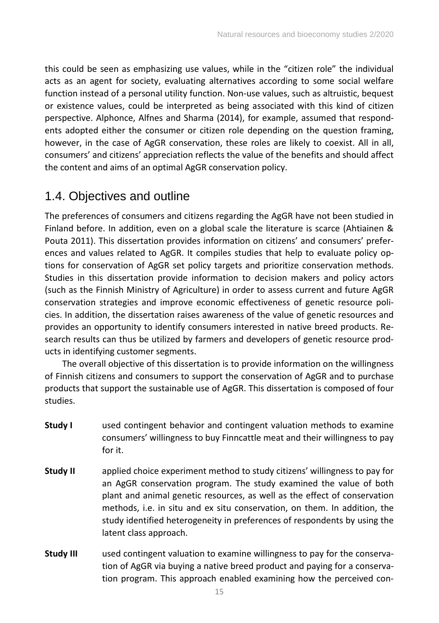this could be seen as emphasizing use values, while in the "citizen role" the individual acts as an agent for society, evaluating alternatives according to some social welfare function instead of a personal utility function. Non-use values, such as altruistic, bequest or existence values, could be interpreted as being associated with this kind of citizen perspective. Alphonce, Alfnes and Sharma (2014), for example, assumed that respondents adopted either the consumer or citizen role depending on the question framing, however, in the case of AgGR conservation, these roles are likely to coexist. All in all, consumers' and citizens' appreciation reflects the value of the benefits and should affect the content and aims of an optimal AgGR conservation policy.

### <span id="page-15-0"></span>1.4. Objectives and outline

The preferences of consumers and citizens regarding the AgGR have not been studied in Finland before. In addition, even on a global scale the literature is scarce (Ahtiainen & Pouta 2011). This dissertation provides information on citizens' and consumers' preferences and values related to AgGR. It compiles studies that help to evaluate policy options for conservation of AgGR set policy targets and prioritize conservation methods. Studies in this dissertation provide information to decision makers and policy actors (such as the Finnish Ministry of Agriculture) in order to assess current and future AgGR conservation strategies and improve economic effectiveness of genetic resource policies. In addition, the dissertation raises awareness of the value of genetic resources and provides an opportunity to identify consumers interested in native breed products. Research results can thus be utilized by farmers and developers of genetic resource products in identifying customer segments.

The overall objective of this dissertation is to provide information on the willingness of Finnish citizens and consumers to support the conservation of AgGR and to purchase products that support the sustainable use of AgGR. This dissertation is composed of four studies.

- **Study I** used contingent behavior and contingent valuation methods to examine consumers' willingness to buy Finncattle meat and their willingness to pay for it.
- **Study II** applied choice experiment method to study citizens' willingness to pay for an AgGR conservation program. The study examined the value of both plant and animal genetic resources, as well as the effect of conservation methods, i.e. in situ and ex situ conservation, on them. In addition, the study identified heterogeneity in preferences of respondents by using the latent class approach.
- **Study III** used contingent valuation to examine willingness to pay for the conservation of AgGR via buying a native breed product and paying for a conservation program. This approach enabled examining how the perceived con-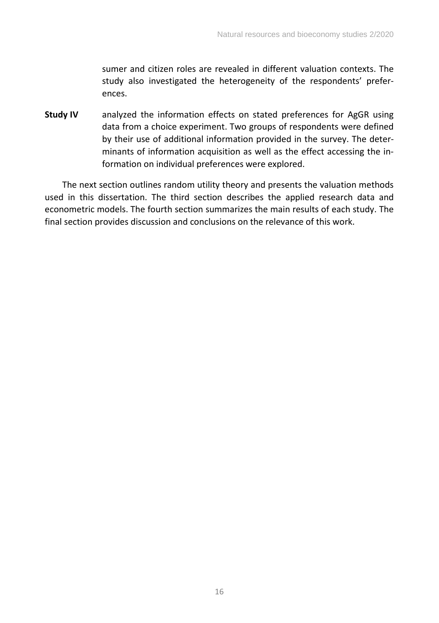sumer and citizen roles are revealed in different valuation contexts. The study also investigated the heterogeneity of the respondents' preferences.

**Study IV** analyzed the information effects on stated preferences for AgGR using data from a choice experiment. Two groups of respondents were defined by their use of additional information provided in the survey. The determinants of information acquisition as well as the effect accessing the information on individual preferences were explored.

The next section outlines random utility theory and presents the valuation methods used in this dissertation. The third section describes the applied research data and econometric models. The fourth section summarizes the main results of each study. The final section provides discussion and conclusions on the relevance of this work.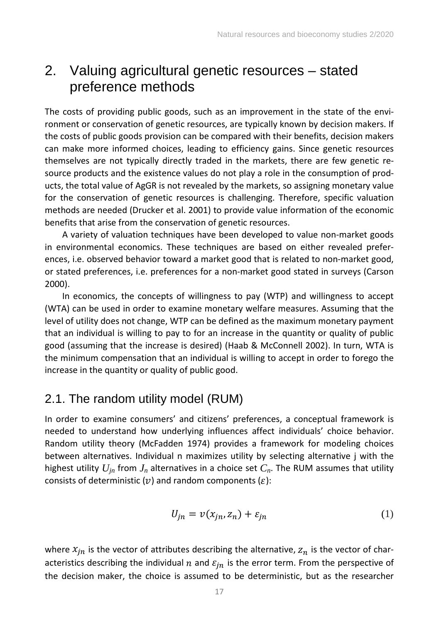## <span id="page-17-0"></span>2. Valuing agricultural genetic resources – stated preference methods

The costs of providing public goods, such as an improvement in the state of the environment or conservation of genetic resources, are typically known by decision makers. If the costs of public goods provision can be compared with their benefits, decision makers can make more informed choices, leading to efficiency gains. Since genetic resources themselves are not typically directly traded in the markets, there are few genetic resource products and the existence values do not play a role in the consumption of products, the total value of AgGR is not revealed by the markets, so assigning monetary value for the conservation of genetic resources is challenging. Therefore, specific valuation methods are needed (Drucker et al. 2001) to provide value information of the economic benefits that arise from the conservation of genetic resources.

A variety of valuation techniques have been developed to value non-market goods in environmental economics. These techniques are based on either revealed preferences, i.e. observed behavior toward a market good that is related to non-market good, or stated preferences, i.e. preferences for a non-market good stated in surveys (Carson 2000).

In economics, the concepts of willingness to pay (WTP) and willingness to accept (WTA) can be used in order to examine monetary welfare measures. Assuming that the level of utility does not change, WTP can be defined as the maximum monetary payment that an individual is willing to pay to for an increase in the quantity or quality of public good (assuming that the increase is desired) (Haab & McConnell 2002). In turn, WTA is the minimum compensation that an individual is willing to accept in order to forego the increase in the quantity or quality of public good.

### <span id="page-17-1"></span>2.1. The random utility model (RUM)

In order to examine consumers' and citizens' preferences, a conceptual framework is needed to understand how underlying influences affect individuals' choice behavior. Random utility theory (McFadden 1974) provides a framework for modeling choices between alternatives. Individual n maximizes utility by selecting alternative j with the highest utility  $U_{in}$  from  $J_n$  alternatives in a choice set  $C_n$ . The RUM assumes that utility consists of deterministic ( $v$ ) and random components ( $\varepsilon$ ):

$$
U_{jn} = v(x_{jn}, z_n) + \varepsilon_{jn} \tag{1}
$$

where  $x_{in}$  is the vector of attributes describing the alternative,  $z_n$  is the vector of characteristics describing the individual  $n$  and  $\varepsilon_{in}$  is the error term. From the perspective of the decision maker, the choice is assumed to be deterministic, but as the researcher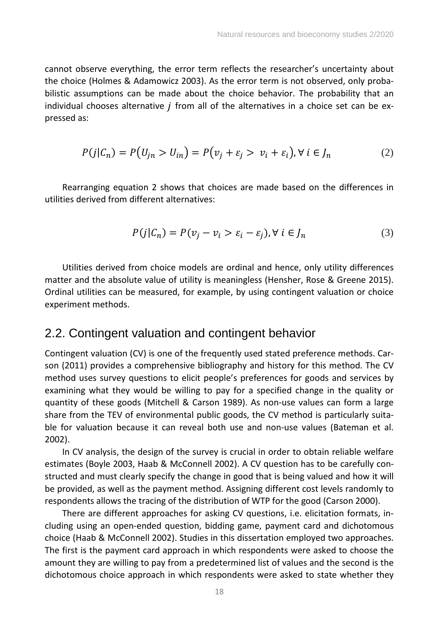cannot observe everything, the error term reflects the researcher's uncertainty about the choice (Holmes & Adamowicz 2003). As the error term is not observed, only probabilistic assumptions can be made about the choice behavior. The probability that an individual chooses alternative  $j$  from all of the alternatives in a choice set can be expressed as:

$$
P(j|\mathcal{C}_n) = P(U_{jn} > U_{in}) = P(v_j + \varepsilon_j > v_i + \varepsilon_i), \forall i \in J_n
$$
 (2)

Rearranging equation 2 shows that choices are made based on the differences in utilities derived from different alternatives:

$$
P(j|\mathcal{C}_n) = P(v_j - v_i > \varepsilon_i - \varepsilon_j), \forall i \in J_n
$$
\n(3)

Utilities derived from choice models are ordinal and hence, only utility differences matter and the absolute value of utility is meaningless (Hensher, Rose & Greene 2015). Ordinal utilities can be measured, for example, by using contingent valuation or choice experiment methods.

#### <span id="page-18-0"></span>2.2. Contingent valuation and contingent behavior

Contingent valuation (CV) is one of the frequently used stated preference methods. Carson (2011) provides a comprehensive bibliography and history for this method. The CV method uses survey questions to elicit people's preferences for goods and services by examining what they would be willing to pay for a specified change in the quality or quantity of these goods (Mitchell & Carson 1989). As non-use values can form a large share from the TEV of environmental public goods, the CV method is particularly suitable for valuation because it can reveal both use and non-use values (Bateman et al. 2002).

In CV analysis, the design of the survey is crucial in order to obtain reliable welfare estimates (Boyle 2003, Haab & McConnell 2002). A CV question has to be carefully constructed and must clearly specify the change in good that is being valued and how it will be provided, as well as the payment method. Assigning different cost levels randomly to respondents allows the tracing of the distribution of WTP for the good (Carson 2000).

There are different approaches for asking CV questions, i.e. elicitation formats, including using an open-ended question, bidding game, payment card and dichotomous choice (Haab & McConnell 2002). Studies in this dissertation employed two approaches. The first is the payment card approach in which respondents were asked to choose the amount they are willing to pay from a predetermined list of values and the second is the dichotomous choice approach in which respondents were asked to state whether they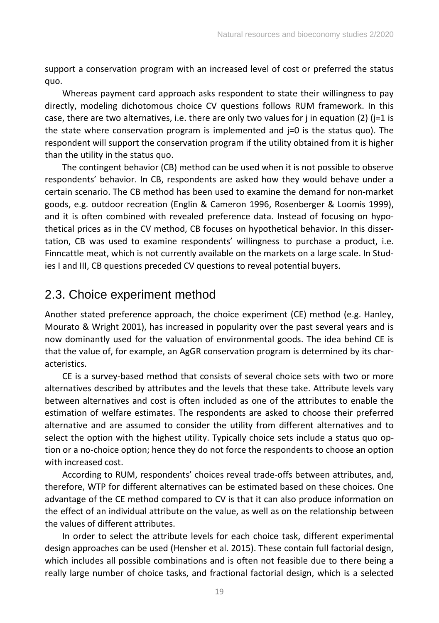support a conservation program with an increased level of cost or preferred the status quo.

Whereas payment card approach asks respondent to state their willingness to pay directly, modeling dichotomous choice CV questions follows RUM framework. In this case, there are two alternatives, i.e. there are only two values for j in equation (2) ( $=1$  is the state where conservation program is implemented and j=0 is the status quo). The respondent will support the conservation program if the utility obtained from it is higher than the utility in the status quo.

The contingent behavior (CB) method can be used when it is not possible to observe respondents' behavior. In CB, respondents are asked how they would behave under a certain scenario. The CB method has been used to examine the demand for non-market goods, e.g. outdoor recreation (Englin & Cameron 1996, Rosenberger & Loomis 1999), and it is often combined with revealed preference data. Instead of focusing on hypothetical prices as in the CV method, CB focuses on hypothetical behavior. In this dissertation, CB was used to examine respondents' willingness to purchase a product, i.e. Finncattle meat, which is not currently available on the markets on a large scale. In Studies I and III, CB questions preceded CV questions to reveal potential buyers.

### <span id="page-19-0"></span>2.3. Choice experiment method

Another stated preference approach, the choice experiment (CE) method (e.g. Hanley, Mourato & Wright 2001), has increased in popularity over the past several years and is now dominantly used for the valuation of environmental goods. The idea behind CE is that the value of, for example, an AgGR conservation program is determined by its characteristics.

CE is a survey-based method that consists of several choice sets with two or more alternatives described by attributes and the levels that these take. Attribute levels vary between alternatives and cost is often included as one of the attributes to enable the estimation of welfare estimates. The respondents are asked to choose their preferred alternative and are assumed to consider the utility from different alternatives and to select the option with the highest utility. Typically choice sets include a status quo option or a no-choice option; hence they do not force the respondents to choose an option with increased cost.

According to RUM, respondents' choices reveal trade-offs between attributes, and, therefore, WTP for different alternatives can be estimated based on these choices. One advantage of the CE method compared to CV is that it can also produce information on the effect of an individual attribute on the value, as well as on the relationship between the values of different attributes.

In order to select the attribute levels for each choice task, different experimental design approaches can be used (Hensher et al. 2015). These contain full factorial design, which includes all possible combinations and is often not feasible due to there being a really large number of choice tasks, and fractional factorial design, which is a selected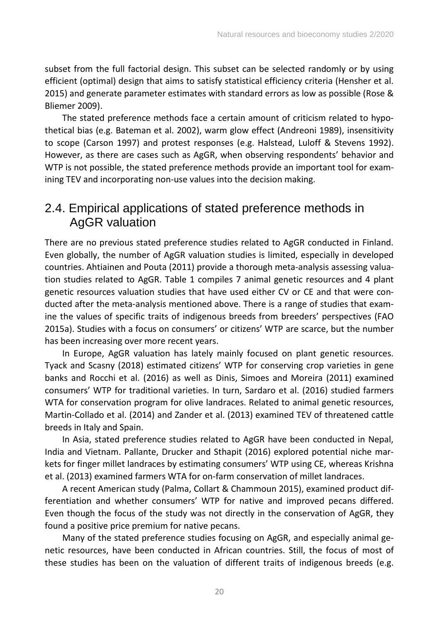subset from the full factorial design. This subset can be selected randomly or by using efficient (optimal) design that aims to satisfy statistical efficiency criteria (Hensher et al. 2015) and generate parameter estimates with standard errors as low as possible (Rose & Bliemer 2009).

The stated preference methods face a certain amount of criticism related to hypothetical bias (e.g. Bateman et al. 2002), warm glow effect (Andreoni 1989), insensitivity to scope (Carson 1997) and protest responses (e.g. Halstead, Luloff & Stevens 1992). However, as there are cases such as AgGR, when observing respondents' behavior and WTP is not possible, the stated preference methods provide an important tool for examining TEV and incorporating non-use values into the decision making.

### <span id="page-20-0"></span>2.4. Empirical applications of stated preference methods in AgGR valuation

There are no previous stated preference studies related to AgGR conducted in Finland. Even globally, the number of AgGR valuation studies is limited, especially in developed countries. Ahtiainen and Pouta (2011) provide a thorough meta-analysis assessing valuation studies related to AgGR. Table 1 compiles 7 animal genetic resources and 4 plant genetic resources valuation studies that have used either CV or CE and that were conducted after the meta-analysis mentioned above. There is a range of studies that examine the values of specific traits of indigenous breeds from breeders' perspectives (FAO 2015a). Studies with a focus on consumers' or citizens' WTP are scarce, but the number has been increasing over more recent years.

In Europe, AgGR valuation has lately mainly focused on plant genetic resources. Tyack and Scasny (2018) estimated citizens' WTP for conserving crop varieties in gene banks and Rocchi et al. (2016) as well as Dinis, Simoes and Moreira (2011) examined consumers' WTP for traditional varieties. In turn, Sardaro et al. (2016) studied farmers WTA for conservation program for olive landraces. Related to animal genetic resources, Martin-Collado et al. (2014) and Zander et al. (2013) examined TEV of threatened cattle breeds in Italy and Spain.

In Asia, stated preference studies related to AgGR have been conducted in Nepal, India and Vietnam. Pallante, Drucker and Sthapit (2016) explored potential niche markets for finger millet landraces by estimating consumers' WTP using CE, whereas Krishna et al. (2013) examined farmers WTA for on-farm conservation of millet landraces.

A recent American study (Palma, Collart & Chammoun 2015), examined product differentiation and whether consumers' WTP for native and improved pecans differed. Even though the focus of the study was not directly in the conservation of AgGR, they found a positive price premium for native pecans.

Many of the stated preference studies focusing on AgGR, and especially animal genetic resources, have been conducted in African countries. Still, the focus of most of these studies has been on the valuation of different traits of indigenous breeds (e.g.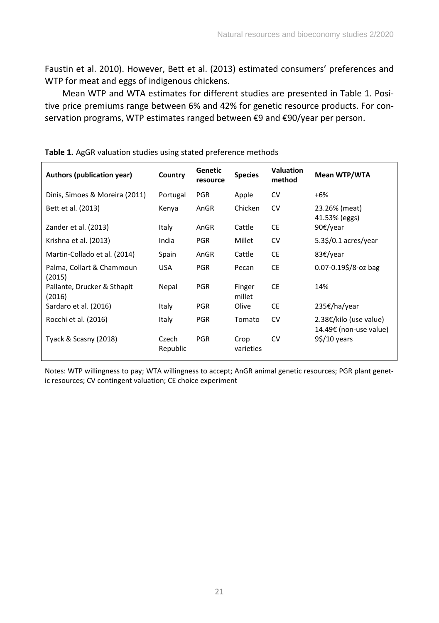Faustin et al. 2010). However, Bett et al. (2013) estimated consumers' preferences and WTP for meat and eggs of indigenous chickens.

Mean WTP and WTA estimates for different studies are presented in Table 1. Positive price premiums range between 6% and 42% for genetic resource products. For conservation programs, WTP estimates ranged between €9 and €90/year per person.

| Authors (publication year)            | Country           | Genetic<br>resource | <b>Species</b>    | <b>Valuation</b><br>method | Mean WTP/WTA                                     |
|---------------------------------------|-------------------|---------------------|-------------------|----------------------------|--------------------------------------------------|
| Dinis, Simoes & Moreira (2011)        | Portugal          | <b>PGR</b>          | Apple             | <b>CV</b>                  | $+6%$                                            |
| Bett et al. (2013)                    | Kenya             | AnGR                | Chicken           | <b>CV</b>                  | 23.26% (meat)<br>41.53% (eggs)                   |
| Zander et al. (2013)                  | Italy             | AnGR                | Cattle            | <b>CE</b>                  | 90€/year                                         |
| Krishna et al. (2013)                 | India             | <b>PGR</b>          | Millet            | <b>CV</b>                  | 5.3\$/0.1 acres/year                             |
| Martin-Collado et al. (2014)          | Spain             | AnGR                | Cattle            | <b>CE</b>                  | 83€/year                                         |
| Palma, Collart & Chammoun<br>(2015)   | <b>USA</b>        | <b>PGR</b>          | Pecan             | <b>CE</b>                  | $0.07 - 0.19$ \$/8-oz bag                        |
| Pallante, Drucker & Sthapit<br>(2016) | Nepal             | <b>PGR</b>          | Finger<br>millet  | <b>CE</b>                  | 14%                                              |
| Sardaro et al. (2016)                 | Italy             | <b>PGR</b>          | Olive             | <b>CE</b>                  | 235€/ha/year                                     |
| Rocchi et al. (2016)                  | Italy             | <b>PGR</b>          | Tomato            | <b>CV</b>                  | 2.38€/kilo (use value)<br>14.49€ (non-use value) |
| Tyack & Scasny (2018)                 | Czech<br>Republic | <b>PGR</b>          | Crop<br>varieties | <b>CV</b>                  | $9\frac{2}{10}$ years                            |

**Table 1.** AgGR valuation studies using stated preference methods

Notes: WTP willingness to pay; WTA willingness to accept; AnGR animal genetic resources; PGR plant genetic resources; CV contingent valuation; CE choice experiment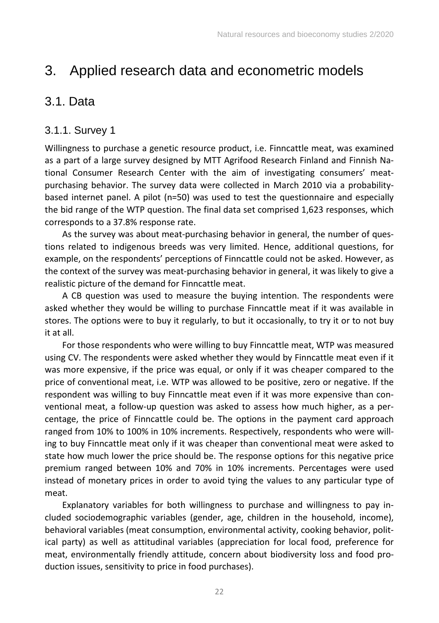# <span id="page-22-0"></span>3. Applied research data and econometric models

### <span id="page-22-1"></span>3.1. Data

#### <span id="page-22-2"></span>3.1.1. Survey 1

Willingness to purchase a genetic resource product, i.e. Finncattle meat, was examined as a part of a large survey designed by MTT Agrifood Research Finland and Finnish National Consumer Research Center with the aim of investigating consumers' meatpurchasing behavior. The survey data were collected in March 2010 via a probabilitybased internet panel. A pilot (n=50) was used to test the questionnaire and especially the bid range of the WTP question. The final data set comprised 1,623 responses, which corresponds to a 37.8% response rate.

As the survey was about meat-purchasing behavior in general, the number of questions related to indigenous breeds was very limited. Hence, additional questions, for example, on the respondents' perceptions of Finncattle could not be asked. However, as the context of the survey was meat-purchasing behavior in general, it was likely to give a realistic picture of the demand for Finncattle meat.

A CB question was used to measure the buying intention. The respondents were asked whether they would be willing to purchase Finncattle meat if it was available in stores. The options were to buy it regularly, to but it occasionally, to try it or to not buy it at all.

For those respondents who were willing to buy Finncattle meat, WTP was measured using CV. The respondents were asked whether they would by Finncattle meat even if it was more expensive, if the price was equal, or only if it was cheaper compared to the price of conventional meat, i.e. WTP was allowed to be positive, zero or negative. If the respondent was willing to buy Finncattle meat even if it was more expensive than conventional meat, a follow-up question was asked to assess how much higher, as a percentage, the price of Finncattle could be. The options in the payment card approach ranged from 10% to 100% in 10% increments. Respectively, respondents who were willing to buy Finncattle meat only if it was cheaper than conventional meat were asked to state how much lower the price should be. The response options for this negative price premium ranged between 10% and 70% in 10% increments. Percentages were used instead of monetary prices in order to avoid tying the values to any particular type of meat.

Explanatory variables for both willingness to purchase and willingness to pay included sociodemographic variables (gender, age, children in the household, income), behavioral variables (meat consumption, environmental activity, cooking behavior, political party) as well as attitudinal variables (appreciation for local food, preference for meat, environmentally friendly attitude, concern about biodiversity loss and food production issues, sensitivity to price in food purchases).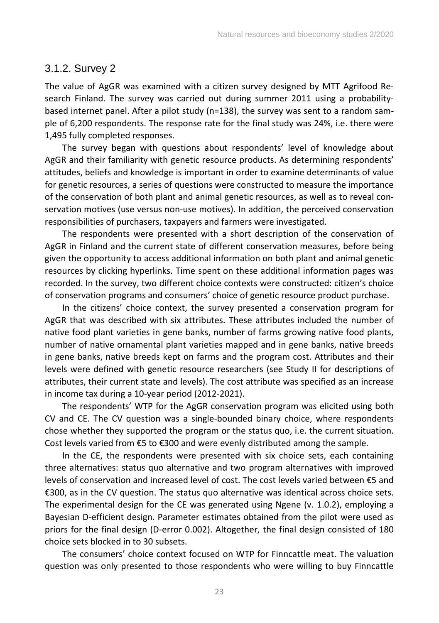#### <span id="page-23-0"></span>3.1.2. Survey 2

The value of AgGR was examined with a citizen survey designed by MTT Agrifood Research Finland. The survey was carried out during summer 2011 using a probabilitybased internet panel. After a pilot study (n=138), the survey was sent to a random sample of 6,200 respondents. The response rate for the final study was 24%, i.e. there were 1,495 fully completed responses.

The survey began with questions about respondents' level of knowledge about AgGR and their familiarity with genetic resource products. As determining respondents' attitudes, beliefs and knowledge is important in order to examine determinants of value for genetic resources, a series of questions were constructed to measure the importance of the conservation of both plant and animal genetic resources, as well as to reveal conservation motives (use versus non-use motives). In addition, the perceived conservation responsibilities of purchasers, taxpayers and farmers were investigated.

The respondents were presented with a short description of the conservation of AgGR in Finland and the current state of different conservation measures, before being given the opportunity to access additional information on both plant and animal genetic resources by clicking hyperlinks. Time spent on these additional information pages was recorded. In the survey, two different choice contexts were constructed: citizen's choice of conservation programs and consumers' choice of genetic resource product purchase.

In the citizens' choice context, the survey presented a conservation program for AgGR that was described with six attributes. These attributes included the number of native food plant varieties in gene banks, number of farms growing native food plants, number of native ornamental plant varieties mapped and in gene banks, native breeds in gene banks, native breeds kept on farms and the program cost. Attributes and their levels were defined with genetic resource researchers (see Study II for descriptions of attributes, their current state and levels). The cost attribute was specified as an increase in income tax during a 10-year period (2012-2021).

The respondents' WTP for the AgGR conservation program was elicited using both CV and CE. The CV question was a single-bounded binary choice, where respondents chose whether they supported the program or the status quo, i.e. the current situation. Cost levels varied from €5 to €300 and were evenly distributed among the sample.

In the CE, the respondents were presented with six choice sets, each containing three alternatives: status quo alternative and two program alternatives with improved levels of conservation and increased level of cost. The cost levels varied between €5 and €300, as in the CV question. The status quo alternative was identical across choice sets. The experimental design for the CE was generated using Ngene (v. 1.0.2), employing a Bayesian D-efficient design. Parameter estimates obtained from the pilot were used as priors for the final design (D-error 0.002). Altogether, the final design consisted of 180 choice sets blocked in to 30 subsets.

The consumers' choice context focused on WTP for Finncattle meat. The valuation question was only presented to those respondents who were willing to buy Finncattle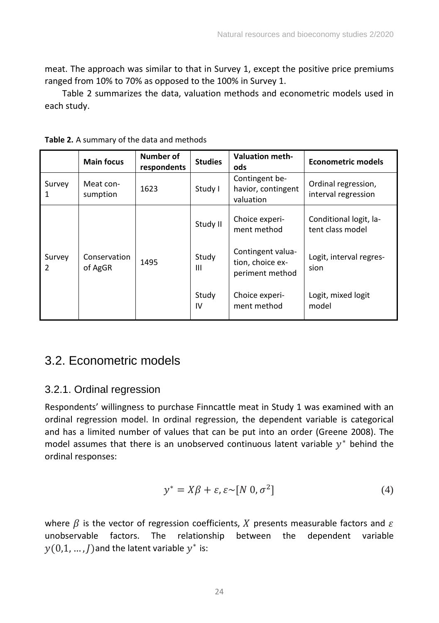meat. The approach was similar to that in Survey 1, except the positive price premiums ranged from 10% to 70% as opposed to the 100% in Survey 1.

Table 2 summarizes the data, valuation methods and econometric models used in each study.

|                         | <b>Main focus</b>       | Number of<br>respondents | <b>Studies</b> | <b>Valuation meth-</b><br>ods                            | Econometric models                         |
|-------------------------|-------------------------|--------------------------|----------------|----------------------------------------------------------|--------------------------------------------|
| Survey<br>1             | Meat con-<br>sumption   | 1623                     | Study I        | Contingent be-<br>havior, contingent<br>valuation        | Ordinal regression,<br>interval regression |
| Survey<br>$\mathcal{P}$ | Conservation<br>of AgGR | 1495                     | Study II       | Choice experi-<br>ment method                            | Conditional logit, la-<br>tent class model |
|                         |                         |                          | Study<br>Ш     | Contingent valua-<br>tion, choice ex-<br>periment method | Logit, interval regres-<br>sion            |
|                         |                         |                          | Study<br>IV    | Choice experi-<br>ment method                            | Logit, mixed logit<br>model                |

**Table 2.** A summary of the data and methods

## <span id="page-24-0"></span>3.2. Econometric models

#### <span id="page-24-1"></span>3.2.1. Ordinal regression

Respondents' willingness to purchase Finncattle meat in Study 1 was examined with an ordinal regression model. In ordinal regression, the dependent variable is categorical and has a limited number of values that can be put into an order (Greene 2008). The model assumes that there is an unobserved continuous latent variable  $y^*$  behind the ordinal responses:

$$
y^* = X\beta + \varepsilon, \varepsilon \sim [N \ 0, \sigma^2]
$$
 (4)

where  $\beta$  is the vector of regression coefficients,  $X$  presents measurable factors and  $\varepsilon$  unobservable factors. The relationship between the dependent variable relationship  $y(0,1, ..., I)$  and the latent variable  $y^*$  is: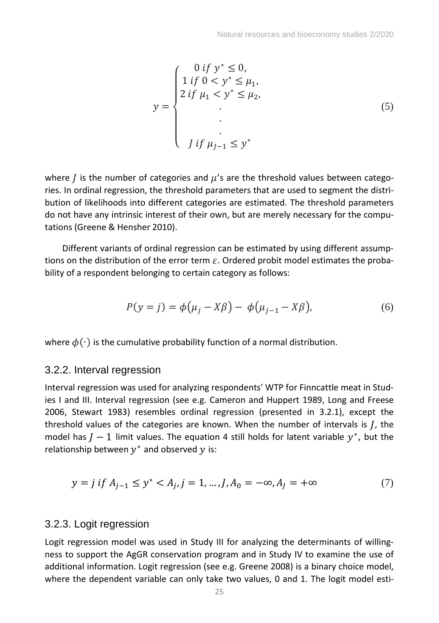$$
y = \begin{cases} 0 \text{ if } y^* \le 0, \\ 1 \text{ if } 0 < y^* \le \mu_1, \\ 2 \text{ if } \mu_1 < y^* \le \mu_2, \\ . \\ . \\ . \\ J \text{ if } \mu_{J-1} \le y^* \end{cases} \tag{5}
$$

where *j* is the number of categories and  $\mu$ 's are the threshold values between categories. In ordinal regression, the threshold parameters that are used to segment the distribution of likelihoods into different categories are estimated. The threshold parameters do not have any intrinsic interest of their own, but are merely necessary for the computations (Greene & Hensher 2010).

Different variants of ordinal regression can be estimated by using different assumptions on the distribution of the error term  $\varepsilon$ . Ordered probit model estimates the probability of a respondent belonging to certain category as follows:

$$
P(y = j) = \phi(\mu_j - X\beta) - \phi(\mu_{j-1} - X\beta),
$$
\n(6)

where  $\phi(\cdot)$  is the cumulative probability function of a normal distribution.

#### <span id="page-25-0"></span>3.2.2. Interval regression

Interval regression was used for analyzing respondents' WTP for Finncattle meat in Studies I and III. Interval regression (see e.g. Cameron and Huppert 1989, Long and Freese 2006, Stewart 1983) resembles ordinal regression (presented in 3.2.1), except the threshold values of the categories are known. When the number of intervals is *, the* model has  $J-1$  limit values. The equation 4 still holds for latent variable  $y^*$ , but the relationship between  $y^*$  and observed  $y$  is:

$$
y = j \text{ if } A_{j-1} \le y^* < A_j, j = 1, \dots, J, A_0 = -\infty, A_j = +\infty \tag{7}
$$

#### <span id="page-25-1"></span>3.2.3. Logit regression

Logit regression model was used in Study III for analyzing the determinants of willingness to support the AgGR conservation program and in Study IV to examine the use of additional information. Logit regression (see e.g. Greene 2008) is a binary choice model, where the dependent variable can only take two values, 0 and 1. The logit model esti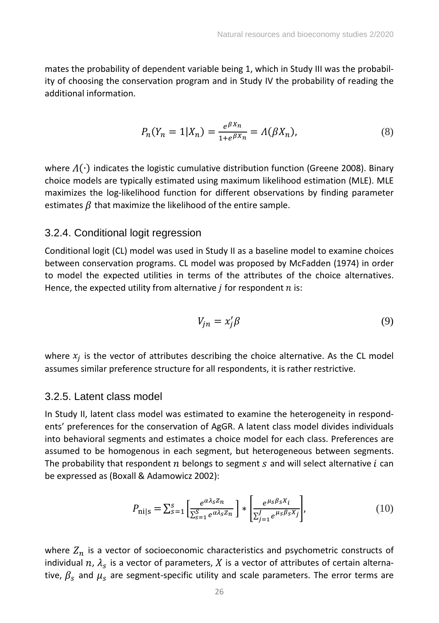mates the probability of dependent variable being 1, which in Study III was the probability of choosing the conservation program and in Study IV the probability of reading the additional information.

$$
P_n(Y_n = 1 | X_n) = \frac{e^{\beta X_n}}{1 + e^{\beta X_n}} = \Lambda(\beta X_n),
$$
\n(8)

where  $\Lambda(\cdot)$  indicates the logistic cumulative distribution function (Greene 2008). Binary choice models are typically estimated using maximum likelihood estimation (MLE). MLE maximizes the log-likelihood function for different observations by finding parameter estimates  $\beta$  that maximize the likelihood of the entire sample.

#### <span id="page-26-0"></span>3.2.4. Conditional logit regression

Conditional logit (CL) model was used in Study II as a baseline model to examine choices between conservation programs. CL model was proposed by McFadden (1974) in order to model the expected utilities in terms of the attributes of the choice alternatives. Hence, the expected utility from alternative  $j$  for respondent  $n$  is:

$$
V_{jn} = x_j' \beta \tag{9}
$$

where  $x_j$  is the vector of attributes describing the choice alternative. As the CL model assumes similar preference structure for all respondents, it is rather restrictive.

#### <span id="page-26-1"></span>3.2.5. Latent class model

In Study II, latent class model was estimated to examine the heterogeneity in respondents' preferences for the conservation of AgGR. A latent class model divides individuals into behavioral segments and estimates a choice model for each class. Preferences are assumed to be homogenous in each segment, but heterogeneous between segments. The probability that respondent  $n$  belongs to segment  $s$  and will select alternative  $i$  can be expressed as (Boxall & Adamowicz 2002):

$$
P_{\text{nils}} = \sum_{s=1}^{s} \left[ \frac{e^{\alpha \lambda_s Z_n}}{\sum_{s=1}^{S} e^{\alpha \lambda_s Z_n}} \right] * \left[ \frac{e^{\mu_s \beta_s X_i}}{\sum_{j=1}^{J} e^{\mu_s \beta_s X_j}} \right],\tag{10}
$$

where  $Z_n$  is a vector of socioeconomic characteristics and psychometric constructs of individual  $n$ ,  $\lambda_s$  is a vector of parameters, X is a vector of attributes of certain alternative,  $\beta_s$  and  $\mu_s$  are segment-specific utility and scale parameters. The error terms are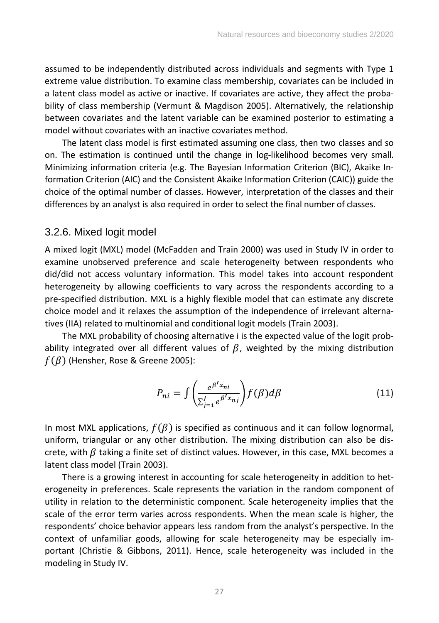assumed to be independently distributed across individuals and segments with Type 1 extreme value distribution. To examine class membership, covariates can be included in a latent class model as active or inactive. If covariates are active, they affect the probability of class membership (Vermunt & Magdison 2005). Alternatively, the relationship between covariates and the latent variable can be examined posterior to estimating a model without covariates with an inactive covariates method.

The latent class model is first estimated assuming one class, then two classes and so on. The estimation is continued until the change in log-likelihood becomes very small. Minimizing information criteria (e.g. The Bayesian Information Criterion (BIC), Akaike Information Criterion (AIC) and the Consistent Akaike Information Criterion (CAIC)) guide the choice of the optimal number of classes. However, interpretation of the classes and their differences by an analyst is also required in order to select the final number of classes.

#### <span id="page-27-0"></span>3.2.6. Mixed logit model

A mixed logit (MXL) model (McFadden and Train 2000) was used in Study IV in order to examine unobserved preference and scale heterogeneity between respondents who did/did not access voluntary information. This model takes into account respondent heterogeneity by allowing coefficients to vary across the respondents according to a pre-specified distribution. MXL is a highly flexible model that can estimate any discrete choice model and it relaxes the assumption of the independence of irrelevant alternatives (IIA) related to multinomial and conditional logit models (Train 2003).

The MXL probability of choosing alternative i is the expected value of the logit probability integrated over all different values of  $\beta$ , weighted by the mixing distribution  $f(\beta)$  (Hensher, Rose & Greene 2005):

$$
P_{ni} = \int \left( \frac{e^{\beta' x_{ni}}}{\sum_{j=1}^{J} e^{\beta' x_{nj}}} \right) f(\beta) d\beta \tag{11}
$$

In most MXL applications,  $f(\beta)$  is specified as continuous and it can follow lognormal, uniform, triangular or any other distribution. The mixing distribution can also be discrete, with  $\beta$  taking a finite set of distinct values. However, in this case, MXL becomes a latent class model (Train 2003).

There is a growing interest in accounting for scale heterogeneity in addition to heterogeneity in preferences. Scale represents the variation in the random component of utility in relation to the deterministic component. Scale heterogeneity implies that the scale of the error term varies across respondents. When the mean scale is higher, the respondents' choice behavior appears less random from the analyst's perspective. In the context of unfamiliar goods, allowing for scale heterogeneity may be especially important (Christie & Gibbons, 2011). Hence, scale heterogeneity was included in the modeling in Study IV.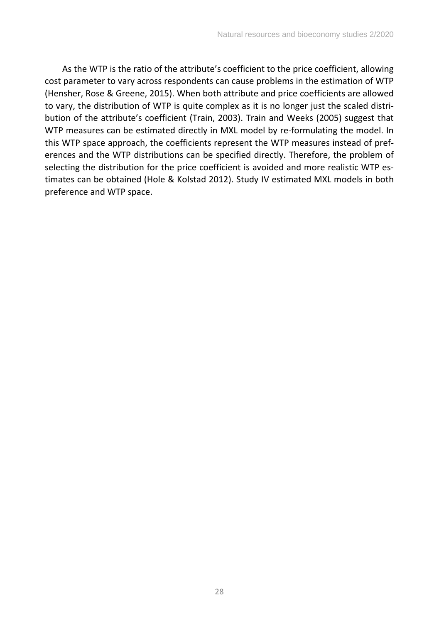As the WTP is the ratio of the attribute's coefficient to the price coefficient, allowing cost parameter to vary across respondents can cause problems in the estimation of WTP (Hensher, Rose & Greene, 2015). When both attribute and price coefficients are allowed to vary, the distribution of WTP is quite complex as it is no longer just the scaled distribution of the attribute's coefficient (Train, 2003). Train and Weeks (2005) suggest that WTP measures can be estimated directly in MXL model by re-formulating the model. In this WTP space approach, the coefficients represent the WTP measures instead of preferences and the WTP distributions can be specified directly. Therefore, the problem of selecting the distribution for the price coefficient is avoided and more realistic WTP estimates can be obtained (Hole & Kolstad 2012). Study IV estimated MXL models in both preference and WTP space.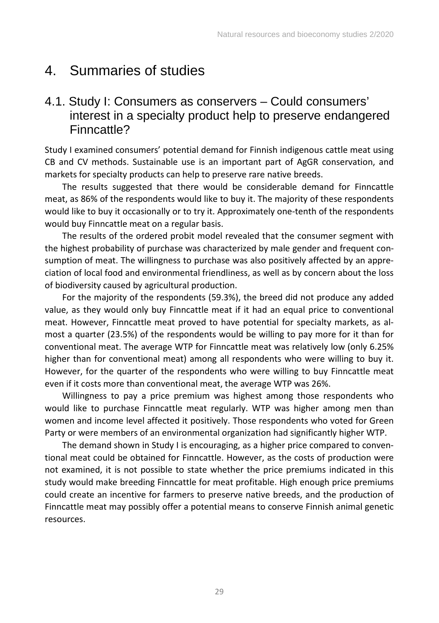# <span id="page-29-0"></span>4. Summaries of studies

### <span id="page-29-1"></span>4.1. Study I: Consumers as conservers – Could consumers' interest in a specialty product help to preserve endangered Finncattle?

Study I examined consumers' potential demand for Finnish indigenous cattle meat using CB and CV methods. Sustainable use is an important part of AgGR conservation, and markets for specialty products can help to preserve rare native breeds.

The results suggested that there would be considerable demand for Finncattle meat, as 86% of the respondents would like to buy it. The majority of these respondents would like to buy it occasionally or to try it. Approximately one-tenth of the respondents would buy Finncattle meat on a regular basis.

The results of the ordered probit model revealed that the consumer segment with the highest probability of purchase was characterized by male gender and frequent consumption of meat. The willingness to purchase was also positively affected by an appreciation of local food and environmental friendliness, as well as by concern about the loss of biodiversity caused by agricultural production.

For the majority of the respondents (59.3%), the breed did not produce any added value, as they would only buy Finncattle meat if it had an equal price to conventional meat. However, Finncattle meat proved to have potential for specialty markets, as almost a quarter (23.5%) of the respondents would be willing to pay more for it than for conventional meat. The average WTP for Finncattle meat was relatively low (only 6.25% higher than for conventional meat) among all respondents who were willing to buy it. However, for the quarter of the respondents who were willing to buy Finncattle meat even if it costs more than conventional meat, the average WTP was 26%.

Willingness to pay a price premium was highest among those respondents who would like to purchase Finncattle meat regularly. WTP was higher among men than women and income level affected it positively. Those respondents who voted for Green Party or were members of an environmental organization had significantly higher WTP.

The demand shown in Study I is encouraging, as a higher price compared to conventional meat could be obtained for Finncattle. However, as the costs of production were not examined, it is not possible to state whether the price premiums indicated in this study would make breeding Finncattle for meat profitable. High enough price premiums could create an incentive for farmers to preserve native breeds, and the production of Finncattle meat may possibly offer a potential means to conserve Finnish animal genetic resources.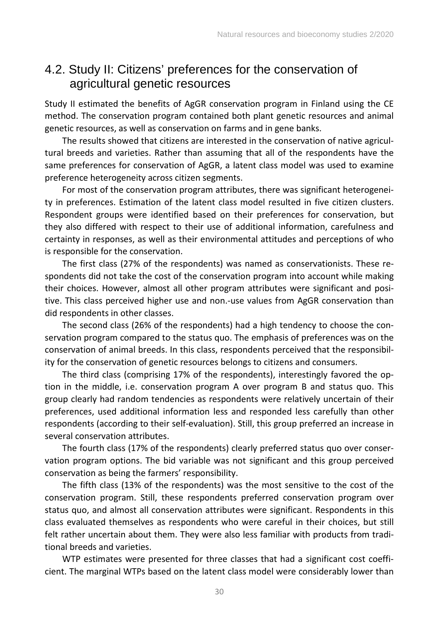#### <span id="page-30-0"></span>4.2. Study II: Citizens' preferences for the conservation of agricultural genetic resources

Study II estimated the benefits of AgGR conservation program in Finland using the CE method. The conservation program contained both plant genetic resources and animal genetic resources, as well as conservation on farms and in gene banks.

The results showed that citizens are interested in the conservation of native agricultural breeds and varieties. Rather than assuming that all of the respondents have the same preferences for conservation of AgGR, a latent class model was used to examine preference heterogeneity across citizen segments.

For most of the conservation program attributes, there was significant heterogeneity in preferences. Estimation of the latent class model resulted in five citizen clusters. Respondent groups were identified based on their preferences for conservation, but they also differed with respect to their use of additional information, carefulness and certainty in responses, as well as their environmental attitudes and perceptions of who is responsible for the conservation.

The first class (27% of the respondents) was named as conservationists. These respondents did not take the cost of the conservation program into account while making their choices. However, almost all other program attributes were significant and positive. This class perceived higher use and non.-use values from AgGR conservation than did respondents in other classes.

The second class (26% of the respondents) had a high tendency to choose the conservation program compared to the status quo. The emphasis of preferences was on the conservation of animal breeds. In this class, respondents perceived that the responsibility for the conservation of genetic resources belongs to citizens and consumers.

The third class (comprising 17% of the respondents), interestingly favored the option in the middle, i.e. conservation program A over program B and status quo. This group clearly had random tendencies as respondents were relatively uncertain of their preferences, used additional information less and responded less carefully than other respondents (according to their self-evaluation). Still, this group preferred an increase in several conservation attributes.

The fourth class (17% of the respondents) clearly preferred status quo over conservation program options. The bid variable was not significant and this group perceived conservation as being the farmers' responsibility.

The fifth class (13% of the respondents) was the most sensitive to the cost of the conservation program. Still, these respondents preferred conservation program over status quo, and almost all conservation attributes were significant. Respondents in this class evaluated themselves as respondents who were careful in their choices, but still felt rather uncertain about them. They were also less familiar with products from traditional breeds and varieties.

WTP estimates were presented for three classes that had a significant cost coefficient. The marginal WTPs based on the latent class model were considerably lower than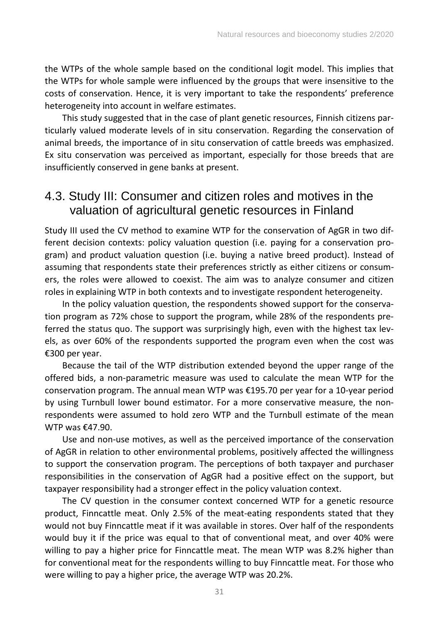the WTPs of the whole sample based on the conditional logit model. This implies that the WTPs for whole sample were influenced by the groups that were insensitive to the costs of conservation. Hence, it is very important to take the respondents' preference heterogeneity into account in welfare estimates.

This study suggested that in the case of plant genetic resources, Finnish citizens particularly valued moderate levels of in situ conservation. Regarding the conservation of animal breeds, the importance of in situ conservation of cattle breeds was emphasized. Ex situ conservation was perceived as important, especially for those breeds that are insufficiently conserved in gene banks at present.

### <span id="page-31-0"></span>4.3. Study III: Consumer and citizen roles and motives in the valuation of agricultural genetic resources in Finland

Study III used the CV method to examine WTP for the conservation of AgGR in two different decision contexts: policy valuation question (i.e. paying for a conservation program) and product valuation question (i.e. buying a native breed product). Instead of assuming that respondents state their preferences strictly as either citizens or consumers, the roles were allowed to coexist. The aim was to analyze consumer and citizen roles in explaining WTP in both contexts and to investigate respondent heterogeneity.

In the policy valuation question, the respondents showed support for the conservation program as 72% chose to support the program, while 28% of the respondents preferred the status quo. The support was surprisingly high, even with the highest tax levels, as over 60% of the respondents supported the program even when the cost was €300 per year.

Because the tail of the WTP distribution extended beyond the upper range of the offered bids, a non-parametric measure was used to calculate the mean WTP for the conservation program. The annual mean WTP was €195.70 per year for a 10-year period by using Turnbull lower bound estimator. For a more conservative measure, the nonrespondents were assumed to hold zero WTP and the Turnbull estimate of the mean WTP was €47.90.

Use and non-use motives, as well as the perceived importance of the conservation of AgGR in relation to other environmental problems, positively affected the willingness to support the conservation program. The perceptions of both taxpayer and purchaser responsibilities in the conservation of AgGR had a positive effect on the support, but taxpayer responsibility had a stronger effect in the policy valuation context.

The CV question in the consumer context concerned WTP for a genetic resource product, Finncattle meat. Only 2.5% of the meat-eating respondents stated that they would not buy Finncattle meat if it was available in stores. Over half of the respondents would buy it if the price was equal to that of conventional meat, and over 40% were willing to pay a higher price for Finncattle meat. The mean WTP was 8.2% higher than for conventional meat for the respondents willing to buy Finncattle meat. For those who were willing to pay a higher price, the average WTP was 20.2%.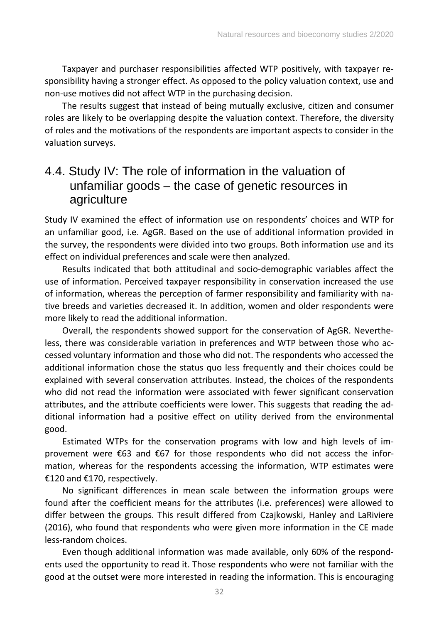Taxpayer and purchaser responsibilities affected WTP positively, with taxpayer responsibility having a stronger effect. As opposed to the policy valuation context, use and non-use motives did not affect WTP in the purchasing decision.

The results suggest that instead of being mutually exclusive, citizen and consumer roles are likely to be overlapping despite the valuation context. Therefore, the diversity of roles and the motivations of the respondents are important aspects to consider in the valuation surveys.

### <span id="page-32-0"></span>4.4. Study IV: The role of information in the valuation of unfamiliar goods – the case of genetic resources in agriculture

Study IV examined the effect of information use on respondents' choices and WTP for an unfamiliar good, i.e. AgGR. Based on the use of additional information provided in the survey, the respondents were divided into two groups. Both information use and its effect on individual preferences and scale were then analyzed.

Results indicated that both attitudinal and socio-demographic variables affect the use of information. Perceived taxpayer responsibility in conservation increased the use of information, whereas the perception of farmer responsibility and familiarity with native breeds and varieties decreased it. In addition, women and older respondents were more likely to read the additional information.

Overall, the respondents showed support for the conservation of AgGR. Nevertheless, there was considerable variation in preferences and WTP between those who accessed voluntary information and those who did not. The respondents who accessed the additional information chose the status quo less frequently and their choices could be explained with several conservation attributes. Instead, the choices of the respondents who did not read the information were associated with fewer significant conservation attributes, and the attribute coefficients were lower. This suggests that reading the additional information had a positive effect on utility derived from the environmental good.

Estimated WTPs for the conservation programs with low and high levels of improvement were €63 and €67 for those respondents who did not access the information, whereas for the respondents accessing the information, WTP estimates were €120 and €170, respectively.

No significant differences in mean scale between the information groups were found after the coefficient means for the attributes (i.e. preferences) were allowed to differ between the groups. This result differed from Czajkowski, Hanley and LaRiviere (2016), who found that respondents who were given more information in the CE made less-random choices.

Even though additional information was made available, only 60% of the respondents used the opportunity to read it. Those respondents who were not familiar with the good at the outset were more interested in reading the information. This is encouraging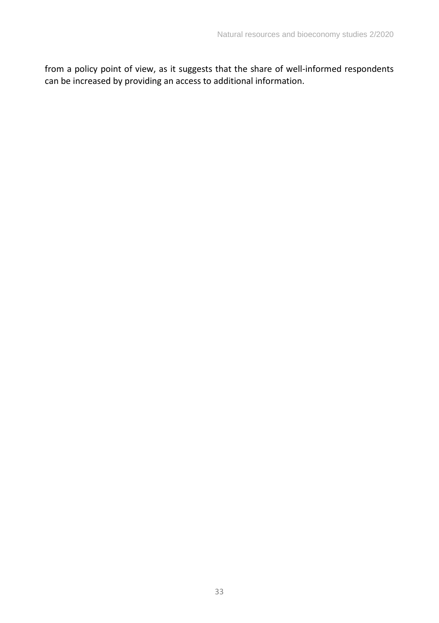from a policy point of view, as it suggests that the share of well-informed respondents can be increased by providing an access to additional information.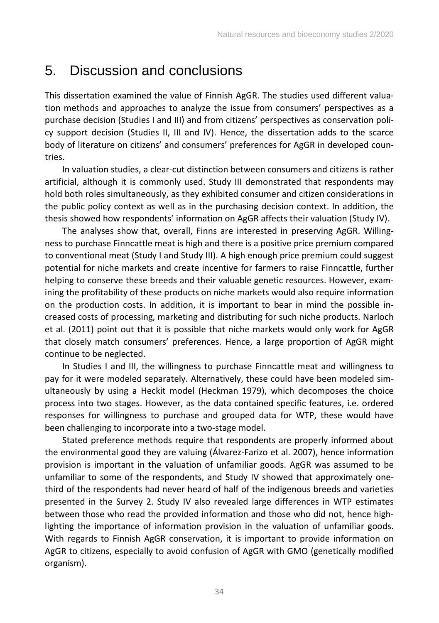## <span id="page-34-0"></span>5. Discussion and conclusions

This dissertation examined the value of Finnish AgGR. The studies used different valuation methods and approaches to analyze the issue from consumers' perspectives as a purchase decision (Studies I and III) and from citizens' perspectives as conservation policy support decision (Studies II, III and IV). Hence, the dissertation adds to the scarce body of literature on citizens' and consumers' preferences for AgGR in developed countries.

In valuation studies, a clear-cut distinction between consumers and citizens is rather artificial, although it is commonly used. Study III demonstrated that respondents may hold both roles simultaneously, as they exhibited consumer and citizen considerations in the public policy context as well as in the purchasing decision context. In addition, the thesis showed how respondents' information on AgGR affects their valuation (Study IV).

The analyses show that, overall, Finns are interested in preserving AgGR. Willingness to purchase Finncattle meat is high and there is a positive price premium compared to conventional meat (Study I and Study III). A high enough price premium could suggest potential for niche markets and create incentive for farmers to raise Finncattle, further helping to conserve these breeds and their valuable genetic resources. However, examining the profitability of these products on niche markets would also require information on the production costs. In addition, it is important to bear in mind the possible increased costs of processing, marketing and distributing for such niche products. Narloch et al. (2011) point out that it is possible that niche markets would only work for AgGR that closely match consumers' preferences. Hence, a large proportion of AgGR might continue to be neglected.

In Studies I and III, the willingness to purchase Finncattle meat and willingness to pay for it were modeled separately. Alternatively, these could have been modeled simultaneously by using a Heckit model (Heckman 1979), which decomposes the choice process into two stages. However, as the data contained specific features, i.e. ordered responses for willingness to purchase and grouped data for WTP, these would have been challenging to incorporate into a two-stage model.

Stated preference methods require that respondents are properly informed about the environmental good they are valuing (Álvarez-Farizo et al. 2007), hence information provision is important in the valuation of unfamiliar goods. AgGR was assumed to be unfamiliar to some of the respondents, and Study IV showed that approximately onethird of the respondents had never heard of half of the indigenous breeds and varieties presented in the Survey 2. Study IV also revealed large differences in WTP estimates between those who read the provided information and those who did not, hence highlighting the importance of information provision in the valuation of unfamiliar goods. With regards to Finnish AgGR conservation, it is important to provide information on AgGR to citizens, especially to avoid confusion of AgGR with GMO (genetically modified organism).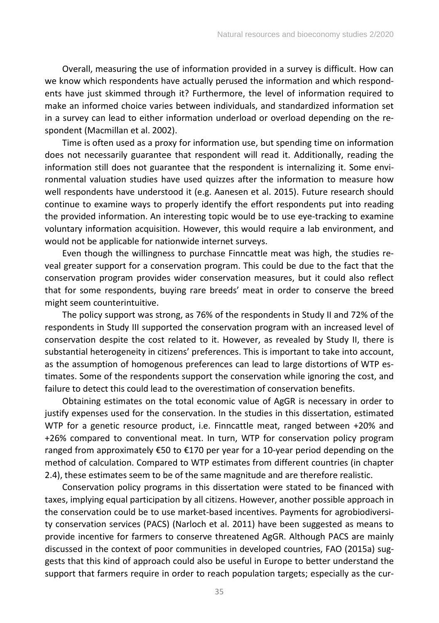Overall, measuring the use of information provided in a survey is difficult. How can we know which respondents have actually perused the information and which respondents have just skimmed through it? Furthermore, the level of information required to make an informed choice varies between individuals, and standardized information set in a survey can lead to either information underload or overload depending on the respondent (Macmillan et al. 2002).

Time is often used as a proxy for information use, but spending time on information does not necessarily guarantee that respondent will read it. Additionally, reading the information still does not guarantee that the respondent is internalizing it. Some environmental valuation studies have used quizzes after the information to measure how well respondents have understood it (e.g. Aanesen et al. 2015). Future research should continue to examine ways to properly identify the effort respondents put into reading the provided information. An interesting topic would be to use eye-tracking to examine voluntary information acquisition. However, this would require a lab environment, and would not be applicable for nationwide internet surveys.

Even though the willingness to purchase Finncattle meat was high, the studies reveal greater support for a conservation program. This could be due to the fact that the conservation program provides wider conservation measures, but it could also reflect that for some respondents, buying rare breeds' meat in order to conserve the breed might seem counterintuitive.

The policy support was strong, as 76% of the respondents in Study II and 72% of the respondents in Study III supported the conservation program with an increased level of conservation despite the cost related to it. However, as revealed by Study II, there is substantial heterogeneity in citizens' preferences. This is important to take into account, as the assumption of homogenous preferences can lead to large distortions of WTP estimates. Some of the respondents support the conservation while ignoring the cost, and failure to detect this could lead to the overestimation of conservation benefits.

Obtaining estimates on the total economic value of AgGR is necessary in order to justify expenses used for the conservation. In the studies in this dissertation, estimated WTP for a genetic resource product, i.e. Finncattle meat, ranged between +20% and +26% compared to conventional meat. In turn, WTP for conservation policy program ranged from approximately €50 to €170 per year for a 10-year period depending on the method of calculation. Compared to WTP estimates from different countries (in chapter 2.4), these estimates seem to be of the same magnitude and are therefore realistic.

Conservation policy programs in this dissertation were stated to be financed with taxes, implying equal participation by all citizens. However, another possible approach in the conservation could be to use market-based incentives. Payments for agrobiodiversity conservation services (PACS) (Narloch et al. 2011) have been suggested as means to provide incentive for farmers to conserve threatened AgGR. Although PACS are mainly discussed in the context of poor communities in developed countries, FAO (2015a) suggests that this kind of approach could also be useful in Europe to better understand the support that farmers require in order to reach population targets; especially as the cur-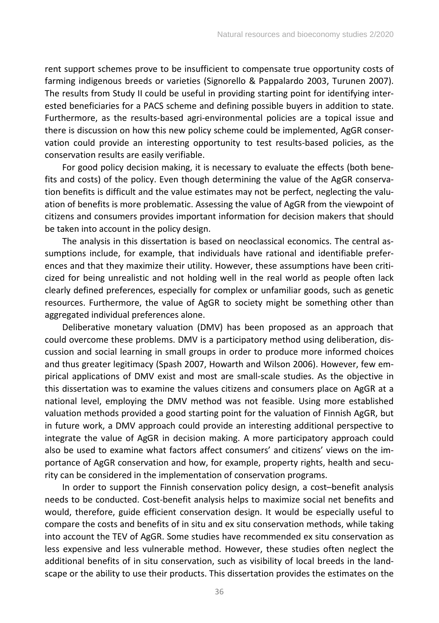rent support schemes prove to be insufficient to compensate true opportunity costs of farming indigenous breeds or varieties (Signorello & Pappalardo 2003, Turunen 2007). The results from Study II could be useful in providing starting point for identifying interested beneficiaries for a PACS scheme and defining possible buyers in addition to state. Furthermore, as the results-based agri-environmental policies are a topical issue and there is discussion on how this new policy scheme could be implemented, AgGR conservation could provide an interesting opportunity to test results-based policies, as the conservation results are easily verifiable.

For good policy decision making, it is necessary to evaluate the effects (both benefits and costs) of the policy. Even though determining the value of the AgGR conservation benefits is difficult and the value estimates may not be perfect, neglecting the valuation of benefits is more problematic. Assessing the value of AgGR from the viewpoint of citizens and consumers provides important information for decision makers that should be taken into account in the policy design.

The analysis in this dissertation is based on neoclassical economics. The central assumptions include, for example, that individuals have rational and identifiable preferences and that they maximize their utility. However, these assumptions have been criticized for being unrealistic and not holding well in the real world as people often lack clearly defined preferences, especially for complex or unfamiliar goods, such as genetic resources. Furthermore, the value of AgGR to society might be something other than aggregated individual preferences alone.

Deliberative monetary valuation (DMV) has been proposed as an approach that could overcome these problems. DMV is a participatory method using deliberation, discussion and social learning in small groups in order to produce more informed choices and thus greater legitimacy (Spash 2007, Howarth and Wilson 2006). However, few empirical applications of DMV exist and most are small-scale studies. As the objective in this dissertation was to examine the values citizens and consumers place on AgGR at a national level, employing the DMV method was not feasible. Using more established valuation methods provided a good starting point for the valuation of Finnish AgGR, but in future work, a DMV approach could provide an interesting additional perspective to integrate the value of AgGR in decision making. A more participatory approach could also be used to examine what factors affect consumers' and citizens' views on the importance of AgGR conservation and how, for example, property rights, health and security can be considered in the implementation of conservation programs.

In order to support the Finnish conservation policy design, a cost–benefit analysis needs to be conducted. Cost-benefit analysis helps to maximize social net benefits and would, therefore, guide efficient conservation design. It would be especially useful to compare the costs and benefits of in situ and ex situ conservation methods, while taking into account the TEV of AgGR. Some studies have recommended ex situ conservation as less expensive and less vulnerable method. However, these studies often neglect the additional benefits of in situ conservation, such as visibility of local breeds in the landscape or the ability to use their products. This dissertation provides the estimates on the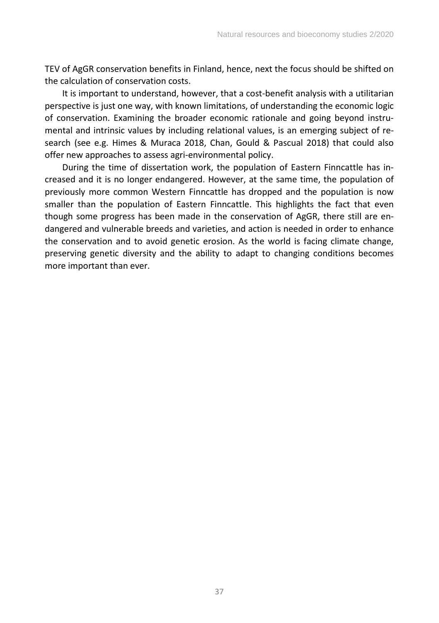TEV of AgGR conservation benefits in Finland, hence, next the focus should be shifted on the calculation of conservation costs.

It is important to understand, however, that a cost-benefit analysis with a utilitarian perspective is just one way, with known limitations, of understanding the economic logic of conservation. Examining the broader economic rationale and going beyond instrumental and intrinsic values by including relational values, is an emerging subject of research (see e.g. Himes & Muraca 2018, Chan, Gould & Pascual 2018) that could also offer new approaches to assess agri-environmental policy.

During the time of dissertation work, the population of Eastern Finncattle has increased and it is no longer endangered. However, at the same time, the population of previously more common Western Finncattle has dropped and the population is now smaller than the population of Eastern Finncattle. This highlights the fact that even though some progress has been made in the conservation of AgGR, there still are endangered and vulnerable breeds and varieties, and action is needed in order to enhance the conservation and to avoid genetic erosion. As the world is facing climate change, preserving genetic diversity and the ability to adapt to changing conditions becomes more important than ever.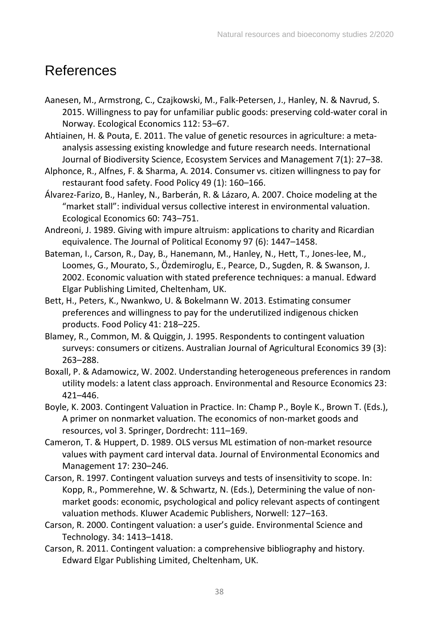## References

- Aanesen, M., Armstrong, C., Czajkowski, M., Falk-Petersen, J., Hanley, N. & Navrud, S. 2015. Willingness to pay for unfamiliar public goods: preserving cold-water coral in Norway. Ecological Economics 112: 53–67.
- Ahtiainen, H. & Pouta, E. 2011. The value of genetic resources in agriculture: a metaanalysis assessing existing knowledge and future research needs. International Journal of Biodiversity Science, Ecosystem Services and Management 7(1): 27–38.
- Alphonce, R., Alfnes, F. & Sharma, A. 2014. Consumer vs. citizen willingness to pay for restaurant food safety. Food Policy 49 (1): 160–166.
- Álvarez-Farizo, B., Hanley, N., Barberán, R. & Lázaro, A. 2007. Choice modeling at the "market stall": individual versus collective interest in environmental valuation. Ecological Economics 60: 743–751.
- Andreoni, J. 1989. Giving with impure altruism: applications to charity and Ricardian equivalence. The Journal of Political Economy 97 (6): 1447–1458.
- Bateman, I., Carson, R., Day, B., Hanemann, M., Hanley, N., Hett, T., Jones-lee, M., Loomes, G., Mourato, S., Özdemiroglu, E., Pearce, D., Sugden, R. & Swanson, J. 2002. Economic valuation with stated preference techniques: a manual. Edward Elgar Publishing Limited, Cheltenham, UK.
- Bett, H., Peters, K., Nwankwo, U. & Bokelmann W. 2013. Estimating consumer preferences and willingness to pay for the underutilized indigenous chicken products. Food Policy 41: 218–225.
- Blamey, R., Common, M. & Quiggin, J. 1995. Respondents to contingent valuation surveys: consumers or citizens. Australian Journal of Agricultural Economics 39 (3): 263–288.
- Boxall, P. & Adamowicz, W. 2002. Understanding heterogeneous preferences in random utility models: a latent class approach. Environmental and Resource Economics 23: 421–446.
- Boyle, K. 2003. Contingent Valuation in Practice. In: Champ P., Boyle K., Brown T. (Eds.), A primer on nonmarket valuation. The economics of non-market goods and resources, vol 3. Springer, Dordrecht: 111–169.
- Cameron, T. & Huppert, D. 1989. OLS versus ML estimation of non-market resource values with payment card interval data. Journal of Environmental Economics and Management 17: 230–246.
- Carson, R. 1997. Contingent valuation surveys and tests of insensitivity to scope. In: Kopp, R., Pommerehne, W. & Schwartz, N. (Eds.), Determining the value of nonmarket goods: economic, psychological and policy relevant aspects of contingent valuation methods. Kluwer Academic Publishers, Norwell: 127–163.
- Carson, R. 2000. Contingent valuation: a user's guide. Environmental Science and Technology. 34: 1413–1418.
- Carson, R. 2011. Contingent valuation: a comprehensive bibliography and history. Edward Elgar Publishing Limited, Cheltenham, UK.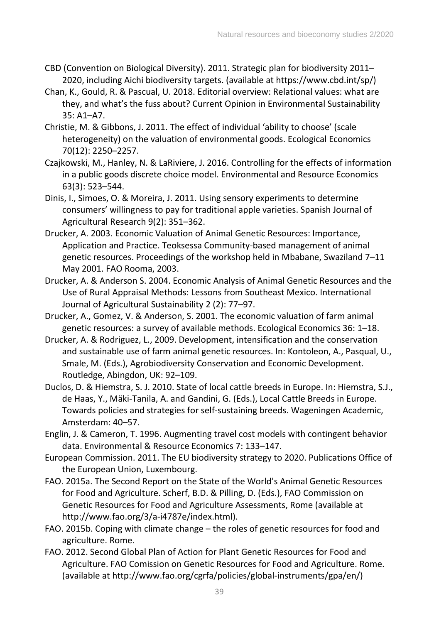- CBD (Convention on Biological Diversity). 2011. Strategic plan for biodiversity 2011– 2020, including Aichi biodiversity targets. (available at https://www.cbd.int/sp/)
- Chan, K., Gould, R. & Pascual, U. 2018. Editorial overview: Relational values: what are they, and what's the fuss about? Current Opinion in Environmental Sustainability 35: A1–A7.
- Christie, M. & Gibbons, J. 2011. The effect of individual 'ability to choose' (scale heterogeneity) on the valuation of environmental goods. Ecological Economics 70(12): 2250–2257.
- Czajkowski, M., Hanley, N. & LaRiviere, J. 2016. Controlling for the effects of information in a public goods discrete choice model. Environmental and Resource Economics 63(3): 523–544.
- Dinis, I., Simoes, O. & Moreira, J. 2011. Using sensory experiments to determine consumers' willingness to pay for traditional apple varieties. Spanish Journal of Agricultural Research 9(2): 351–362.
- Drucker, A. 2003. Economic Valuation of Animal Genetic Resources: Importance, Application and Practice. Teoksessa Community-based management of animal genetic resources. Proceedings of the workshop held in Mbabane, Swaziland 7–11 May 2001. FAO Rooma, 2003.
- Drucker, A. & Anderson S. 2004. Economic Analysis of Animal Genetic Resources and the Use of Rural Appraisal Methods: Lessons from Southeast Mexico. International Journal of Agricultural Sustainability 2 (2): 77–97.
- Drucker, A., Gomez, V. & Anderson, S. 2001. The economic valuation of farm animal genetic resources: a survey of available methods. Ecological Economics 36: 1–18.
- Drucker, A. & Rodriguez, L., 2009. Development, intensification and the conservation and sustainable use of farm animal genetic resources. In: Kontoleon, A., Pasqual, U., Smale, M. (Eds.), Agrobiodiversity Conservation and Economic Development. Routledge, Abingdon, UK: 92–109.
- Duclos, D. & Hiemstra, S. J. 2010. State of local cattle breeds in Europe. In: Hiemstra, S.J., de Haas, Y., Mäki-Tanila, A. and Gandini, G. (Eds.), Local Cattle Breeds in Europe. Towards policies and strategies for self-sustaining breeds. Wageningen Academic, Amsterdam: 40–57.
- Englin, J. & Cameron, T. 1996. Augmenting travel cost models with contingent behavior data. Environmental & Resource Economics 7: 133–147.
- European Commission. 2011. The EU biodiversity strategy to 2020. Publications Office of the European Union, Luxembourg.
- FAO. 2015a. The Second Report on the State of the World's Animal Genetic Resources for Food and Agriculture. Scherf, B.D. & Pilling, D. (Eds.), FAO Commission on Genetic Resources for Food and Agriculture Assessments, Rome (available at http://www.fao.org/3/a-i4787e/index.html).
- FAO. 2015b. Coping with climate change the roles of genetic resources for food and agriculture. Rome.
- FAO. 2012. Second Global Plan of Action for Plant Genetic Resources for Food and Agriculture. FAO Comission on Genetic Resources for Food and Agriculture. Rome. (available at http://www.fao.org/cgrfa/policies/global-instruments/gpa/en/)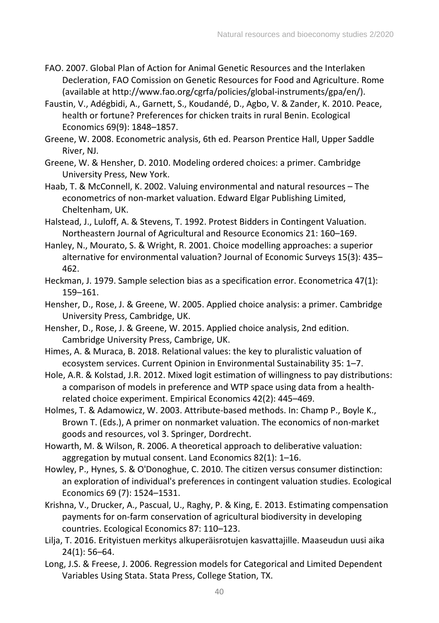- FAO. 2007. Global Plan of Action for Animal Genetic Resources and the Interlaken Decleration, FAO Comission on Genetic Resources for Food and Agriculture. Rome (available at http://www.fao.org/cgrfa/policies/global-instruments/gpa/en/).
- Faustin, V., Adégbidi, A., Garnett, S., Koudandé, D., Agbo, V. & Zander, K. 2010. Peace, health or fortune? Preferences for chicken traits in rural Benin. Ecological Economics 69(9): 1848–1857.
- Greene, W. 2008. Econometric analysis, 6th ed. Pearson Prentice Hall, Upper Saddle River, NJ.
- Greene, W. & Hensher, D. 2010. Modeling ordered choices: a primer. Cambridge University Press, New York.
- Haab, T. & McConnell, K. 2002. Valuing environmental and natural resources The econometrics of non-market valuation. Edward Elgar Publishing Limited, Cheltenham, UK.
- Halstead, J., Luloff, A. & Stevens, T. 1992. Protest Bidders in Contingent Valuation. Northeastern Journal of Agricultural and Resource Economics 21: 160–169.
- Hanley, N., Mourato, S. & Wright, R. 2001. Choice modelling approaches: a superior alternative for environmental valuation? Journal of Economic Surveys 15(3): 435– 462.
- Heckman, J. 1979. Sample selection bias as a specification error. Econometrica 47(1): 159–161.
- Hensher, D., Rose, J. & Greene, W. 2005. Applied choice analysis: a primer. Cambridge University Press, Cambridge, UK.
- Hensher, D., Rose, J. & Greene, W. 2015. Applied choice analysis, 2nd edition. Cambridge University Press, Cambrige, UK.
- Himes, A. & Muraca, B. 2018. Relational values: the key to pluralistic valuation of ecosystem services. Current Opinion in Environmental Sustainability 35: 1–7.
- Hole, A.R. & Kolstad, J.R. 2012. Mixed logit estimation of willingness to pay distributions: a comparison of models in preference and WTP space using data from a healthrelated choice experiment. Empirical Economics 42(2): 445–469.
- Holmes, T. & Adamowicz, W. 2003. Attribute-based methods. In: Champ P., Boyle K., Brown T. (Eds.), A primer on nonmarket valuation. The economics of non-market goods and resources, vol 3. Springer, Dordrecht.
- Howarth, M. & Wilson, R. 2006. A theoretical approach to deliberative valuation: aggregation by mutual consent. Land Economics 82(1): 1–16.
- Howley, P., Hynes, S. & O'Donoghue, C. 2010. The citizen versus consumer distinction: an exploration of individual's preferences in contingent valuation studies. Ecological Economics 69 (7): 1524–1531.
- Krishna, V., Drucker, A., Pascual, U., Raghy, P. & King, E. 2013. Estimating compensation payments for on-farm conservation of agricultural biodiversity in developing countries. Ecological Economics 87: 110–123.
- Lilja, T. 2016. Erityistuen merkitys alkuperäisrotujen kasvattajille. Maaseudun uusi aika 24(1): 56–64.
- Long, J.S. & Freese, J. 2006. Regression models for Categorical and Limited Dependent Variables Using Stata. Stata Press, College Station, TX.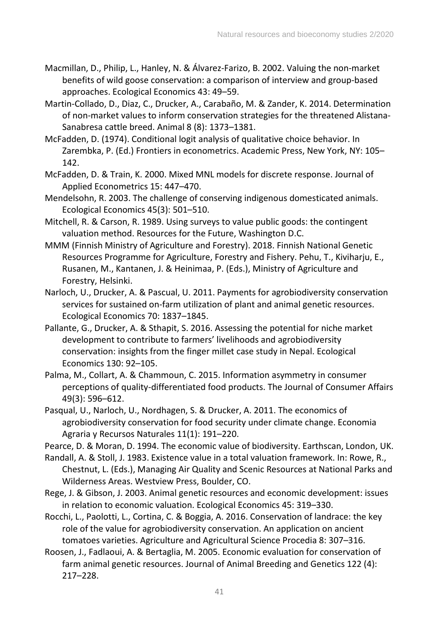- Macmillan, D., Philip, L., Hanley, N. & Álvarez-Farizo, B. 2002. Valuing the non-market benefits of wild goose conservation: a comparison of interview and group-based approaches. Ecological Economics 43: 49–59.
- Martin-Collado, D., Diaz, C., Drucker, A., Carabaño, M. & Zander, K. 2014. Determination of non-market values to inform conservation strategies for the threatened Alistana-Sanabresa cattle breed. Animal 8 (8): 1373–1381.
- McFadden, D. (1974). Conditional logit analysis of qualitative choice behavior. In Zarembka, P. (Ed.) Frontiers in econometrics. Academic Press, New York, NY: 105– 142.
- McFadden, D. & Train, K. 2000. Mixed MNL models for discrete response. Journal of Applied Econometrics 15: 447–470.
- Mendelsohn, R. 2003. The challenge of conserving indigenous domesticated animals. Ecological Economics 45(3): 501–510.
- Mitchell, R. & Carson, R. 1989. Using surveys to value public goods: the contingent valuation method. Resources for the Future, Washington D.C.
- MMM (Finnish Ministry of Agriculture and Forestry). 2018. Finnish National Genetic Resources Programme for Agriculture, Forestry and Fishery. Pehu, T., Kiviharju, E., Rusanen, M., Kantanen, J. & Heinimaa, P. (Eds.), Ministry of Agriculture and Forestry, Helsinki.
- Narloch, U., Drucker, A. & Pascual, U. 2011. Payments for agrobiodiversity conservation services for sustained on-farm utilization of plant and animal genetic resources. Ecological Economics 70: 1837–1845.
- Pallante, G., Drucker, A. & Sthapit, S. 2016. Assessing the potential for niche market development to contribute to farmers' livelihoods and agrobiodiversity conservation: insights from the finger millet case study in Nepal. Ecological Economics 130: 92–105.
- Palma, M., Collart, A. & Chammoun, C. 2015. Information asymmetry in consumer perceptions of quality-differentiated food products. The Journal of Consumer Affairs 49(3): 596–612.
- Pasqual, U., Narloch, U., Nordhagen, S. & Drucker, A. 2011. The economics of agrobiodiversity conservation for food security under climate change. Economia Agraria y Recursos Naturales 11(1): 191–220.
- Pearce, D. & Moran, D. 1994. The economic value of biodiversity. Earthscan, London, UK.
- Randall, A. & Stoll, J. 1983. Existence value in a total valuation framework. In: Rowe, R., Chestnut, L. (Eds.), Managing Air Quality and Scenic Resources at National Parks and Wilderness Areas. Westview Press, Boulder, CO.
- Rege, J. & Gibson, J. 2003. Animal genetic resources and economic development: issues in relation to economic valuation. Ecological Economics 45: 319–330.
- Rocchi, L., Paolotti, L., Cortina, C. & Boggia, A. 2016. Conservation of landrace: the key role of the value for agrobiodiversity conservation. An application on ancient tomatoes varieties. Agriculture and Agricultural Science Procedia 8: 307–316.
- Roosen, J., Fadlaoui, A. & Bertaglia, M. 2005. Economic evaluation for conservation of farm animal genetic resources. Journal of Animal Breeding and Genetics 122 (4): 217–228.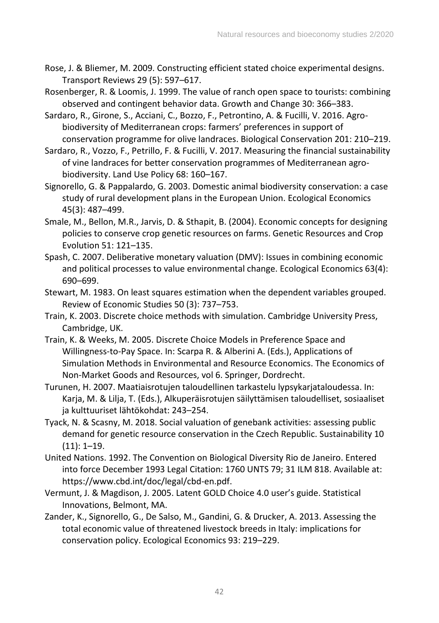- Rose, J. & Bliemer, M. 2009. Constructing efficient stated choice experimental designs. Transport Reviews 29 (5): 597–617.
- Rosenberger, R. & Loomis, J. 1999. The value of ranch open space to tourists: combining observed and contingent behavior data. Growth and Change 30: 366–383.
- Sardaro, R., Girone, S., Acciani, C., Bozzo, F., Petrontino, A. & Fucilli, V. 2016. Agrobiodiversity of Mediterranean crops: farmers' preferences in support of conservation programme for olive landraces. Biological Conservation 201: 210–219.
- Sardaro, R., Vozzo, F., Petrillo, F. & Fucilli, V. 2017. Measuring the financial sustainability of vine landraces for better conservation programmes of Mediterranean agrobiodiversity. Land Use Policy 68: 160–167.
- Signorello, G. & Pappalardo, G. 2003. Domestic animal biodiversity conservation: a case study of rural development plans in the European Union. Ecological Economics 45(3): 487–499.
- Smale, M., Bellon, M.R., Jarvis, D. & Sthapit, B. (2004). Economic concepts for designing policies to conserve crop genetic resources on farms. Genetic Resources and Crop Evolution 51: 121–135.
- Spash, C. 2007. Deliberative monetary valuation (DMV): Issues in combining economic and political processes to value environmental change. Ecological Economics 63(4): 690–699.
- Stewart, M. 1983. On least squares estimation when the dependent variables grouped. Review of Economic Studies 50 (3): 737–753.
- Train, K. 2003. Discrete choice methods with simulation. Cambridge University Press, Cambridge, UK.
- Train, K. & Weeks, M. 2005. Discrete Choice Models in Preference Space and Willingness-to-Pay Space. In: Scarpa R. & Alberini A. (Eds.), Applications of Simulation Methods in Environmental and Resource Economics. The Economics of Non-Market Goods and Resources, vol 6. Springer, Dordrecht.
- Turunen, H. 2007. Maatiaisrotujen taloudellinen tarkastelu lypsykarjataloudessa. In: Karja, M. & Lilja, T. (Eds.), Alkuperäisrotujen säilyttämisen taloudelliset, sosiaaliset ja kulttuuriset lähtökohdat: 243–254.
- Tyack, N. & Scasny, M. 2018. Social valuation of genebank activities: assessing public demand for genetic resource conservation in the Czech Republic. Sustainability 10 (11): 1–19.
- United Nations. 1992. The Convention on Biological Diversity Rio de Janeiro. Entered into force December 1993 Legal Citation: 1760 UNTS 79; 31 ILM 818. Available at: https://www.cbd.int/doc/legal/cbd-en.pdf.
- Vermunt, J. & Magdison, J. 2005. Latent GOLD Choice 4.0 user's guide. Statistical Innovations, Belmont, MA.
- Zander, K., Signorello, G., De Salso, M., Gandini, G. & Drucker, A. 2013. Assessing the total economic value of threatened livestock breeds in Italy: implications for conservation policy. Ecological Economics 93: 219–229.